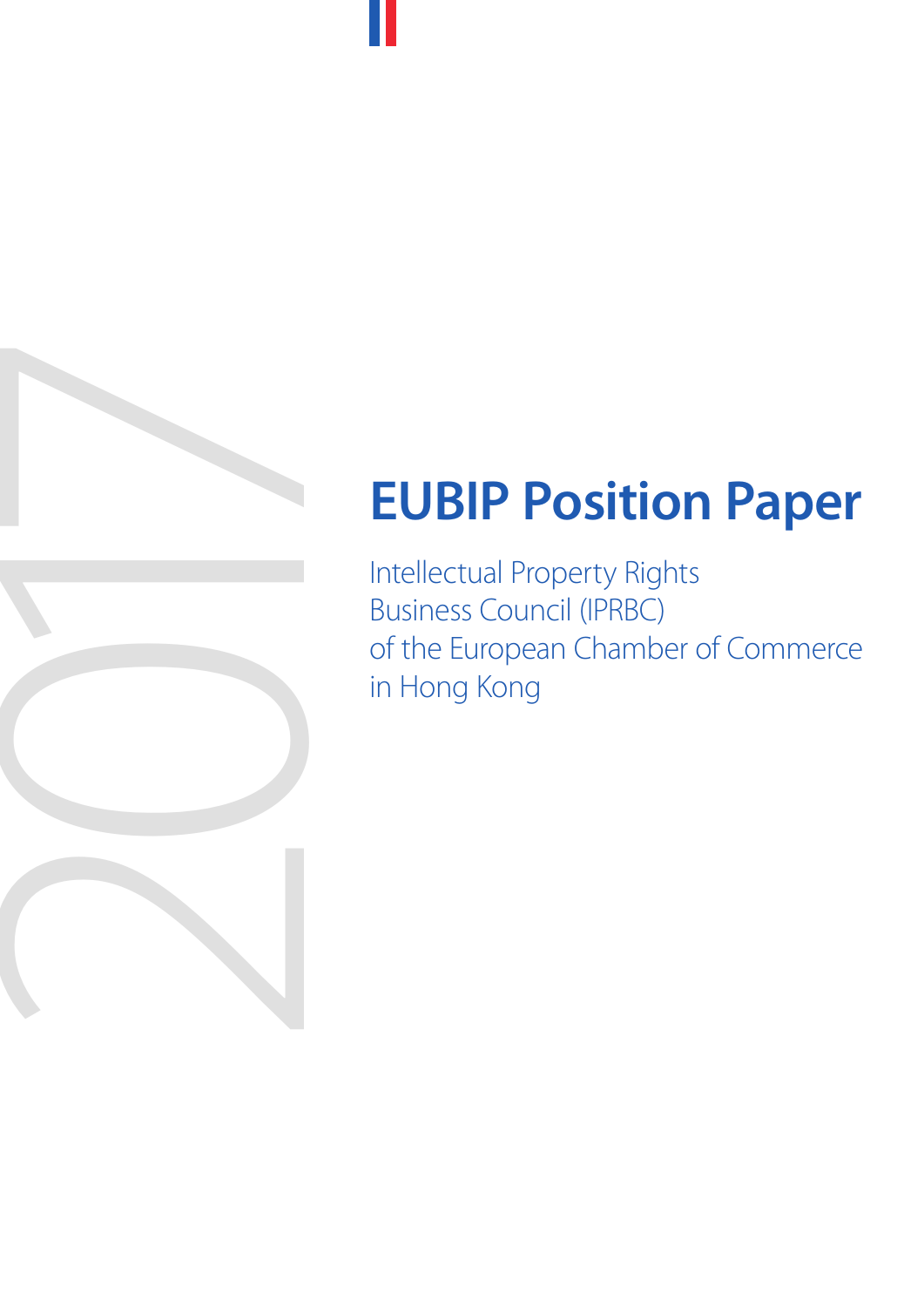# **EUBIP Position Paper**

EUBIP Position<br>
Intellectual Property Rights<br>
Business Council (IPRBC)<br>
of the European Chamber c<br>
in Hong Kong<br>
<br>
Alternatives Business Council (IPRBC) of the European Chamber of Commerce in Hong Kong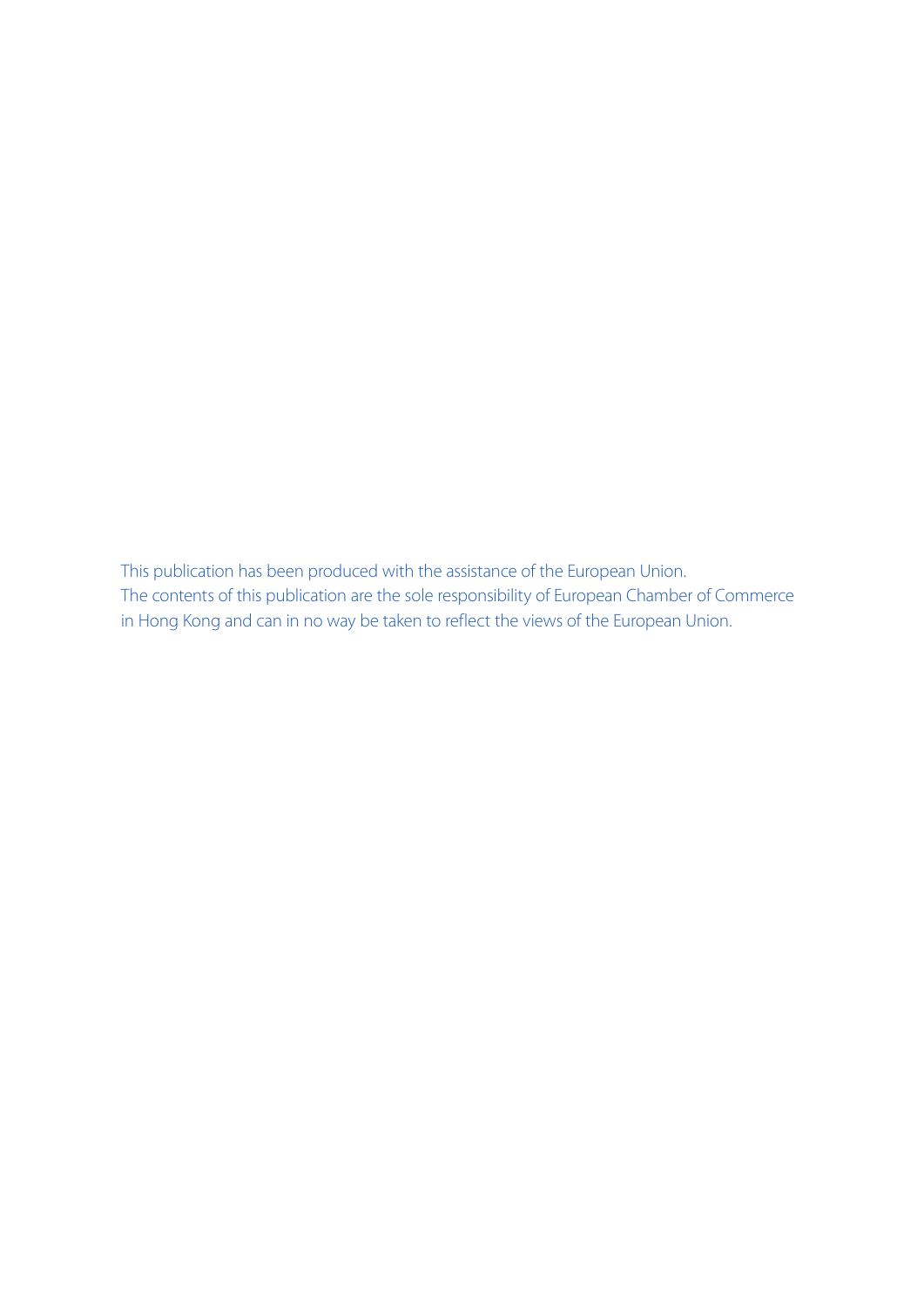This publication has been produced with the assistance of the European Union. The contents of this publication are the sole responsibility of European Chamber of Commerce in Hong Kong and can in no way be taken to reflect the views of the European Union.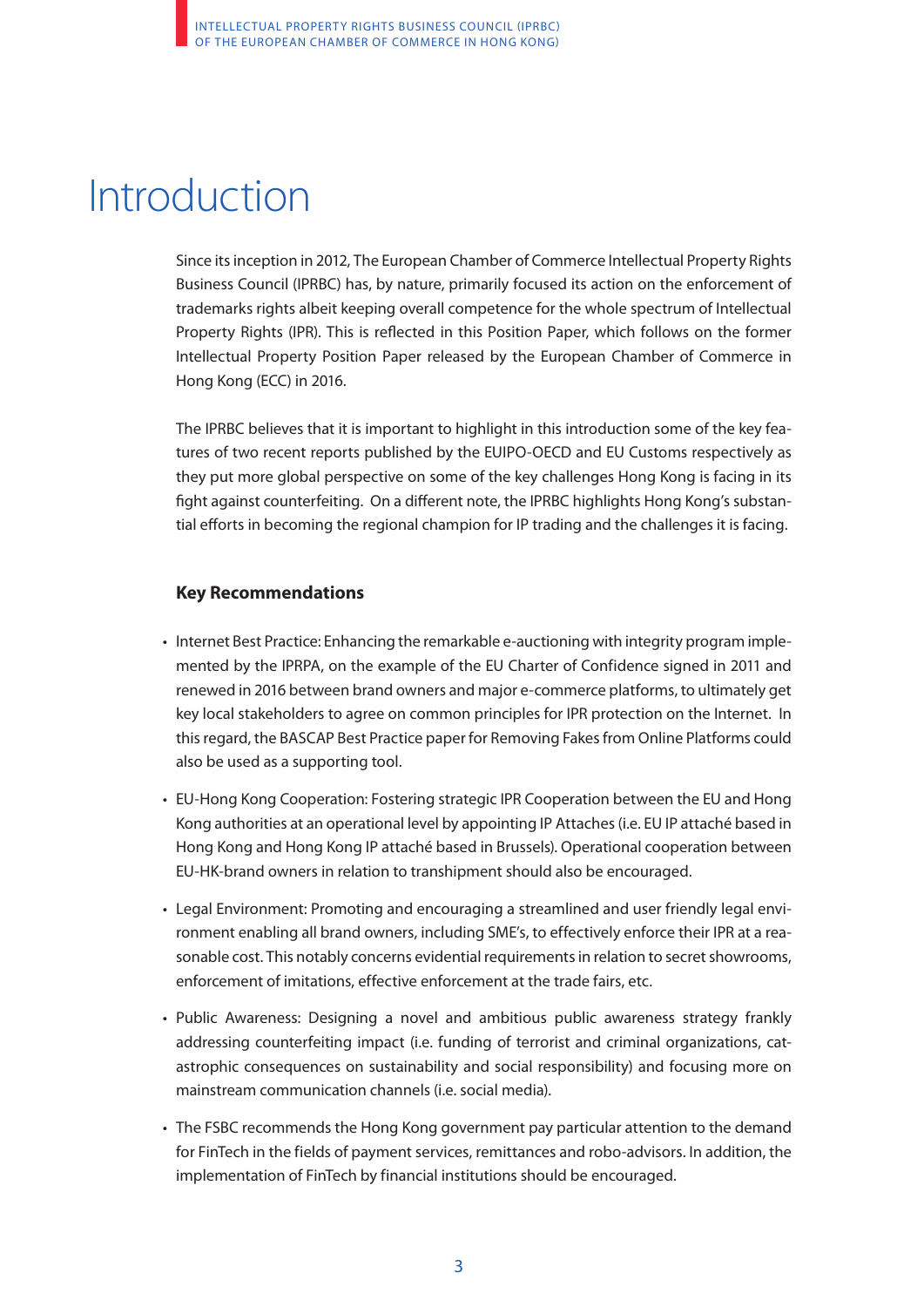## Introduction

Since its inception in 2012, The European Chamber of Commerce Intellectual Property Rights Business Council (IPRBC) has, by nature, primarily focused its action on the enforcement of trademarks rights albeit keeping overall competence for the whole spectrum of Intellectual Property Rights (IPR). This is reflected in this Position Paper, which follows on the former Intellectual Property Position Paper released by the European Chamber of Commerce in Hong Kong (ECC) in 2016.

The IPRBC believes that it is important to highlight in this introduction some of the key features of two recent reports published by the EUIPO-OECD and EU Customs respectively as they put more global perspective on some of the key challenges Hong Kong is facing in its fight against counterfeiting. On a different note, the IPRBC highlights Hong Kong's substantial efforts in becoming the regional champion for IP trading and the challenges it is facing.

### **Key Recommendations**

- Internet Best Practice: Enhancing the remarkable e-auctioning with integrity program implemented by the IPRPA, on the example of the EU Charter of Confidence signed in 2011 and renewed in 2016 between brand owners and major e-commerce platforms, to ultimately get key local stakeholders to agree on common principles for IPR protection on the Internet. In this regard, the BASCAP Best Practice paper for Removing Fakes from Online Platforms could also be used as a supporting tool.
- EU-Hong Kong Cooperation: Fostering strategic IPR Cooperation between the EU and Hong Kong authorities at an operational level by appointing IP Attaches (i.e. EU IP attaché based in Hong Kong and Hong Kong IP attaché based in Brussels). Operational cooperation between EU-HK-brand owners in relation to transhipment should also be encouraged.
- Legal Environment: Promoting and encouraging a streamlined and user friendly legal environment enabling all brand owners, including SME's, to effectively enforce their IPR at a reasonable cost. This notably concerns evidential requirements in relation to secret showrooms, enforcement of imitations, effective enforcement at the trade fairs, etc.
- Public Awareness: Designing a novel and ambitious public awareness strategy frankly addressing counterfeiting impact (i.e. funding of terrorist and criminal organizations, catastrophic consequences on sustainability and social responsibility) and focusing more on mainstream communication channels (i.e. social media).
- The FSBC recommends the Hong Kong government pay particular attention to the demand for FinTech in the fields of payment services, remittances and robo-advisors. In addition, the implementation of FinTech by financial institutions should be encouraged.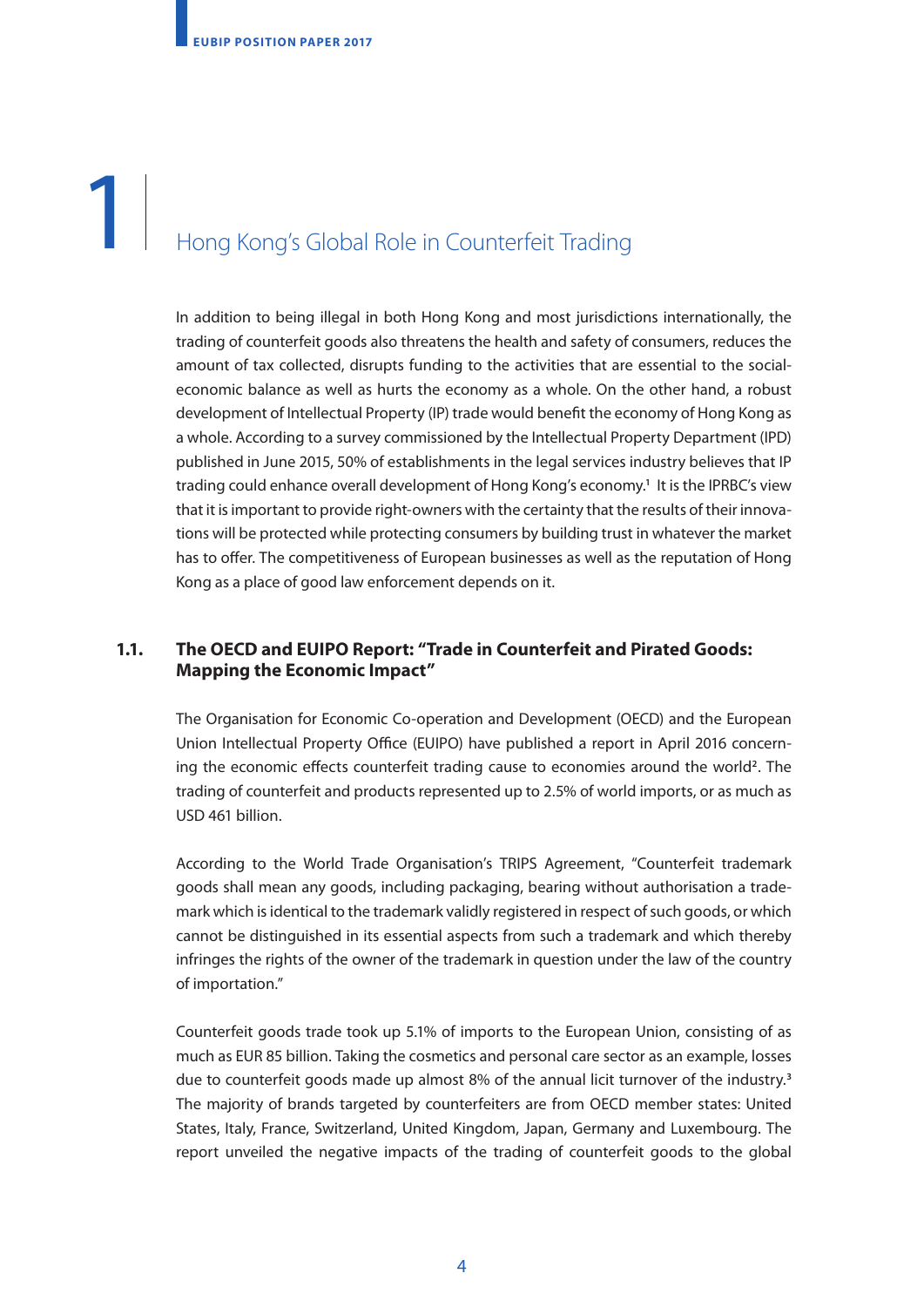### $\mathbb{I}$  $\mathbb{I}$ 1. Hong Kong's Global Role in Counterfeit Trading 1

In addition to being illegal in both Hong Kong and most jurisdictions internationally, the trading of counterfeit goods also threatens the health and safety of consumers, reduces the amount of tax collected, disrupts funding to the activities that are essential to the socialeconomic balance as well as hurts the economy as a whole. On the other hand, a robust development of Intellectual Property (IP) trade would benefit the economy of Hong Kong as a whole. According to a survey commissioned by the Intellectual Property Department (IPD) published in June 2015, 50% of establishments in the legal services industry believes that IP trading could enhance overall development of Hong Kong's economy.**<sup>1</sup>** It is the IPRBC's view that it is important to provide right-owners with the certainty that the results of their innovations will be protected while protecting consumers by building trust in whatever the market has to offer. The competitiveness of European businesses as well as the reputation of Hong Kong as a place of good law enforcement depends on it.

### **1.1. The OECD and EUIPO Report: "Trade in Counterfeit and Pirated Goods: Mapping the Economic Impact"**

The Organisation for Economic Co-operation and Development (OECD) and the European Union Intellectual Property Office (EUIPO) have published a report in April 2016 concerning the economic effects counterfeit trading cause to economies around the world**2**. The trading of counterfeit and products represented up to 2.5% of world imports, or as much as USD 461 billion.

According to the World Trade Organisation's TRIPS Agreement, "Counterfeit trademark goods shall mean any goods, including packaging, bearing without authorisation a trademark which is identical to the trademark validly registered in respect of such goods, or which cannot be distinguished in its essential aspects from such a trademark and which thereby infringes the rights of the owner of the trademark in question under the law of the country of importation."

Counterfeit goods trade took up 5.1% of imports to the European Union, consisting of as much as EUR 85 billion. Taking the cosmetics and personal care sector as an example, losses due to counterfeit goods made up almost 8% of the annual licit turnover of the industry.**<sup>3</sup>** The majority of brands targeted by counterfeiters are from OECD member states: United States, Italy, France, Switzerland, United Kingdom, Japan, Germany and Luxembourg. The report unveiled the negative impacts of the trading of counterfeit goods to the global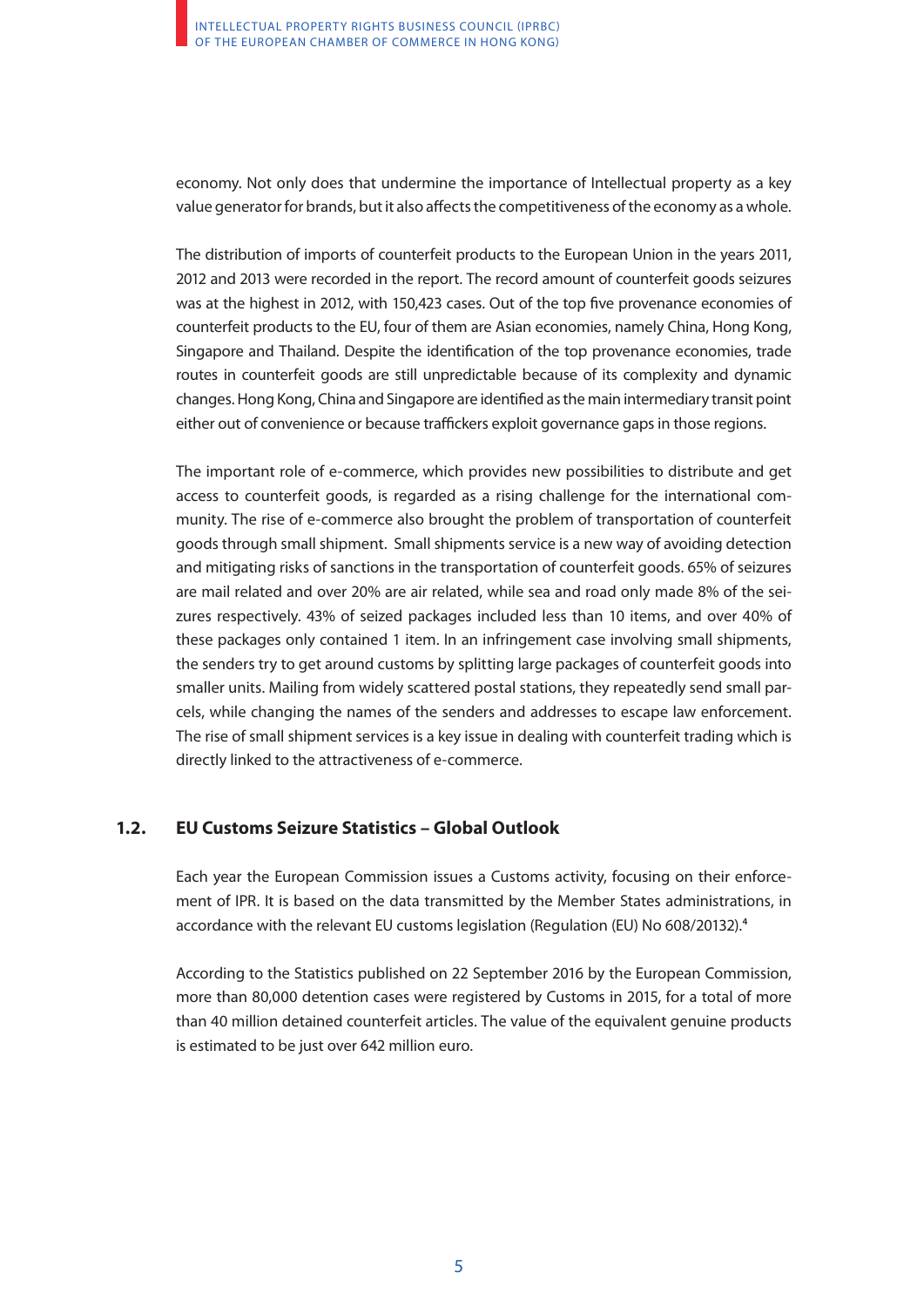economy. Not only does that undermine the importance of Intellectual property as a key value generator for brands, but it also affects the competitiveness of the economy as a whole.

The distribution of imports of counterfeit products to the European Union in the years 2011, 2012 and 2013 were recorded in the report. The record amount of counterfeit goods seizures was at the highest in 2012, with 150,423 cases. Out of the top five provenance economies of counterfeit products to the EU, four of them are Asian economies, namely China, Hong Kong, Singapore and Thailand. Despite the identification of the top provenance economies, trade routes in counterfeit goods are still unpredictable because of its complexity and dynamic changes. Hong Kong, China and Singapore are identified as the main intermediary transit point either out of convenience or because traffickers exploit governance gaps in those regions.

The important role of e-commerce, which provides new possibilities to distribute and get access to counterfeit goods, is regarded as a rising challenge for the international community. The rise of e-commerce also brought the problem of transportation of counterfeit goods through small shipment. Small shipments service is a new way of avoiding detection and mitigating risks of sanctions in the transportation of counterfeit goods. 65% of seizures are mail related and over 20% are air related, while sea and road only made 8% of the seizures respectively. 43% of seized packages included less than 10 items, and over 40% of these packages only contained 1 item. In an infringement case involving small shipments, the senders try to get around customs by splitting large packages of counterfeit goods into smaller units. Mailing from widely scattered postal stations, they repeatedly send small parcels, while changing the names of the senders and addresses to escape law enforcement. The rise of small shipment services is a key issue in dealing with counterfeit trading which is directly linked to the attractiveness of e-commerce.

### **1.2. EU Customs Seizure Statistics – Global Outlook**

Each year the European Commission issues a Customs activity, focusing on their enforcement of IPR. It is based on the data transmitted by the Member States administrations, in accordance with the relevant EU customs legislation (Regulation (EU) No 608/20132).**<sup>4</sup>**

According to the Statistics published on 22 September 2016 by the European Commission, more than 80,000 detention cases were registered by Customs in 2015, for a total of more than 40 million detained counterfeit articles. The value of the equivalent genuine products is estimated to be just over 642 million euro.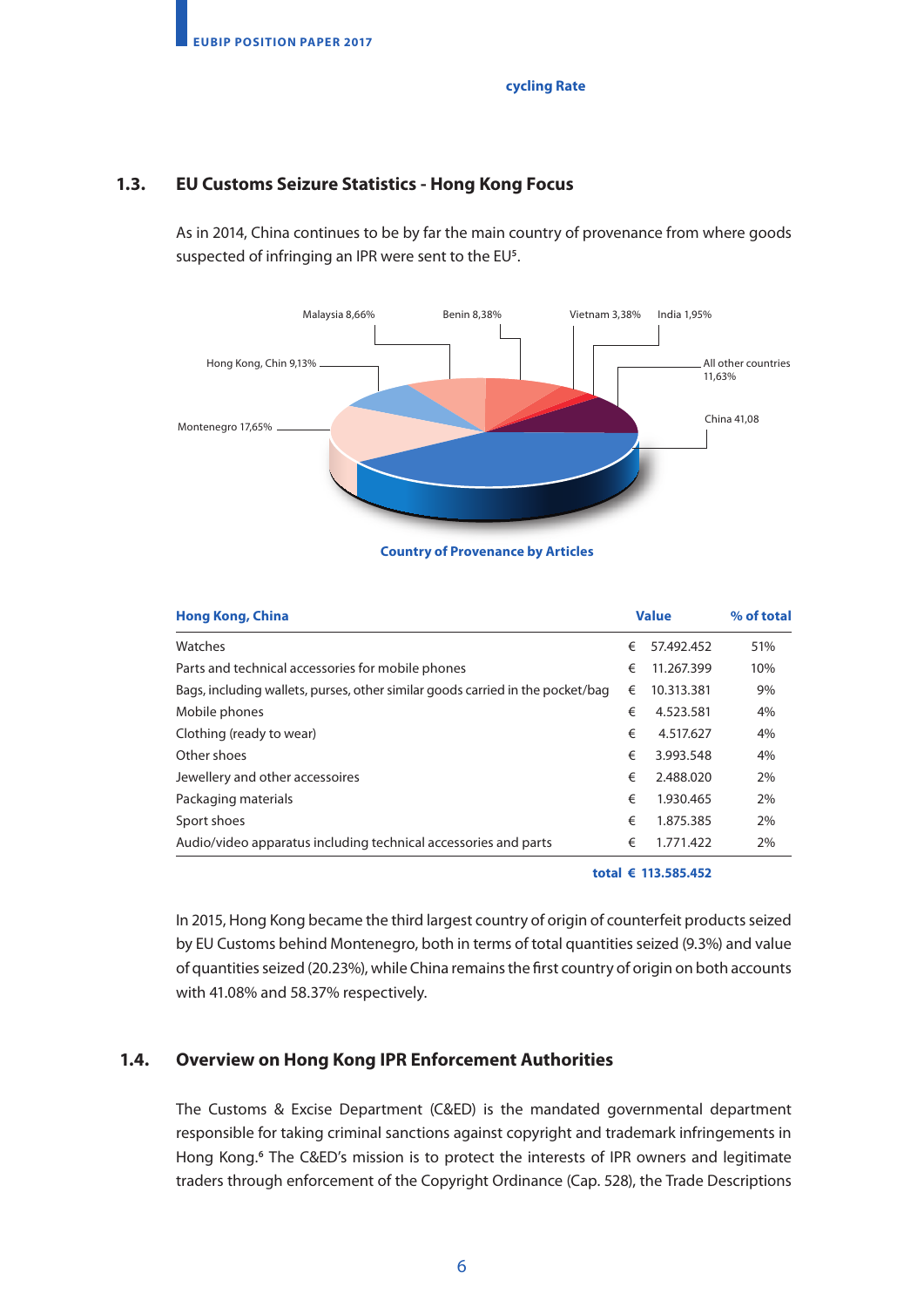### **cycling Rate**

### **1.3. EU Customs Seizure Statistics - Hong Kong Focus**

As in 2014, China continues to be by far the main country of provenance from where goods suspected of infringing an IPR were sent to the EU**<sup>5</sup>** .



### **Country of Provenance by Articles**

| <b>Hong Kong, China</b>                                                        |   | <b>Value</b> | % of total |
|--------------------------------------------------------------------------------|---|--------------|------------|
| Watches                                                                        | € | 57.492.452   | 51%        |
| Parts and technical accessories for mobile phones                              | € | 11.267.399   | 10%        |
| Bags, including wallets, purses, other similar goods carried in the pocket/bag | € | 10.313.381   | 9%         |
| Mobile phones                                                                  | € | 4.523.581    | 4%         |
| Clothing (ready to wear)                                                       | € | 4.517.627    | 4%         |
| Other shoes                                                                    | € | 3.993.548    | 4%         |
| Jewellery and other accessoires                                                | € | 2.488.020    | 2%         |
| Packaging materials                                                            | € | 1.930.465    | 2%         |
| Sport shoes                                                                    | € | 1.875.385    | 2%         |
| Audio/video apparatus including technical accessories and parts                | € | 1.771.422    | 2%         |

**total € 113.585.452**

In 2015, Hong Kong became the third largest country of origin of counterfeit products seized by EU Customs behind Montenegro, both in terms of total quantities seized (9.3%) and value of quantities seized (20.23%), while China remains the first country of origin on both accounts with 41.08% and 58.37% respectively.

### **1.4. Overview on Hong Kong IPR Enforcement Authorities**

The Customs & Excise Department (C&ED) is the mandated governmental department responsible for taking criminal sanctions against copyright and trademark infringements in Hong Kong.**<sup>6</sup>** The C&ED's mission is to protect the interests of IPR owners and legitimate traders through enforcement of the Copyright Ordinance (Cap. 528), the Trade Descriptions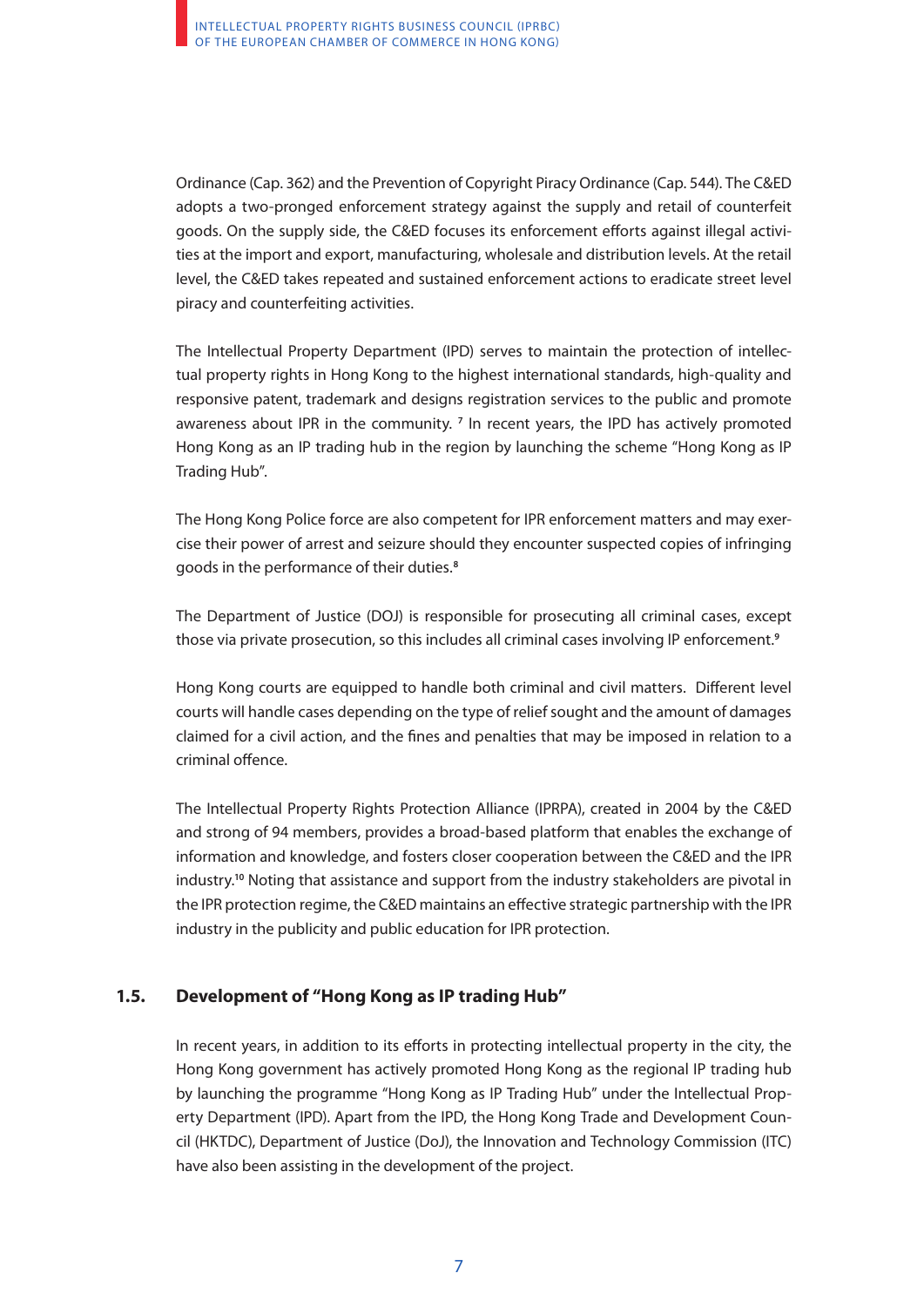Ordinance (Cap. 362) and the Prevention of Copyright Piracy Ordinance (Cap. 544). The C&ED adopts a two-pronged enforcement strategy against the supply and retail of counterfeit goods. On the supply side, the C&ED focuses its enforcement efforts against illegal activities at the import and export, manufacturing, wholesale and distribution levels. At the retail level, the C&ED takes repeated and sustained enforcement actions to eradicate street level piracy and counterfeiting activities.

The Intellectual Property Department (IPD) serves to maintain the protection of intellectual property rights in Hong Kong to the highest international standards, high-quality and responsive patent, trademark and designs registration services to the public and promote awareness about IPR in the community.<sup>7</sup> In recent years, the IPD has actively promoted Hong Kong as an IP trading hub in the region by launching the scheme "Hong Kong as IP Trading Hub".

The Hong Kong Police force are also competent for IPR enforcement matters and may exercise their power of arrest and seizure should they encounter suspected copies of infringing goods in the performance of their duties.**<sup>8</sup>**

The Department of Justice (DOJ) is responsible for prosecuting all criminal cases, except those via private prosecution, so this includes all criminal cases involving IP enforcement.**<sup>9</sup>**

Hong Kong courts are equipped to handle both criminal and civil matters. Different level courts will handle cases depending on the type of relief sought and the amount of damages claimed for a civil action, and the fines and penalties that may be imposed in relation to a criminal offence.

The Intellectual Property Rights Protection Alliance (IPRPA), created in 2004 by the C&ED and strong of 94 members, provides a broad-based platform that enables the exchange of information and knowledge, and fosters closer cooperation between the C&ED and the IPR industry.**<sup>10</sup>** Noting that assistance and support from the industry stakeholders are pivotal in the IPR protection regime, the C&ED maintains an effective strategic partnership with the IPR industry in the publicity and public education for IPR protection.

### **1.5. Development of "Hong Kong as IP trading Hub"**

In recent years, in addition to its efforts in protecting intellectual property in the city, the Hong Kong government has actively promoted Hong Kong as the regional IP trading hub by launching the programme "Hong Kong as IP Trading Hub" under the Intellectual Property Department (IPD). Apart from the IPD, the Hong Kong Trade and Development Council (HKTDC), Department of Justice (DoJ), the Innovation and Technology Commission (ITC) have also been assisting in the development of the project.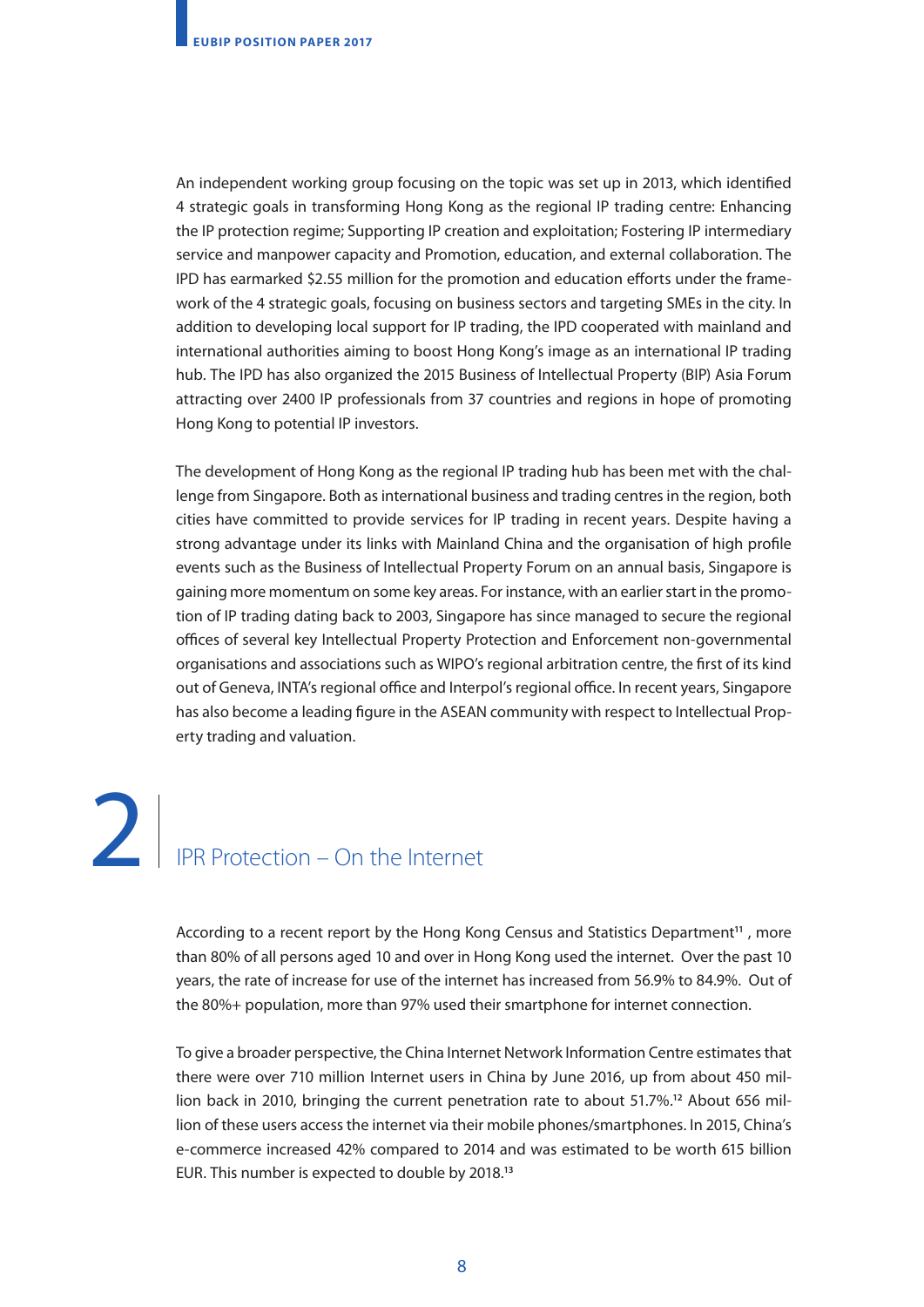An independent working group focusing on the topic was set up in 2013, which identified 4 strategic goals in transforming Hong Kong as the regional IP trading centre: Enhancing the IP protection regime; Supporting IP creation and exploitation; Fostering IP intermediary service and manpower capacity and Promotion, education, and external collaboration. The IPD has earmarked \$2.55 million for the promotion and education efforts under the framework of the 4 strategic goals, focusing on business sectors and targeting SMEs in the city. In addition to developing local support for IP trading, the IPD cooperated with mainland and international authorities aiming to boost Hong Kong's image as an international IP trading hub. The IPD has also organized the 2015 Business of Intellectual Property (BIP) Asia Forum attracting over 2400 IP professionals from 37 countries and regions in hope of promoting Hong Kong to potential IP investors.

The development of Hong Kong as the regional IP trading hub has been met with the challenge from Singapore. Both as international business and trading centres in the region, both cities have committed to provide services for IP trading in recent years. Despite having a strong advantage under its links with Mainland China and the organisation of high profile events such as the Business of Intellectual Property Forum on an annual basis, Singapore is gaining more momentum on some key areas. For instance, with an earlier start in the promotion of IP trading dating back to 2003, Singapore has since managed to secure the regional offices of several key Intellectual Property Protection and Enforcement non-governmental organisations and associations such as WIPO's regional arbitration centre, the first of its kind out of Geneva, INTA's regional office and Interpol's regional office. In recent years, Singapore has also become a leading figure in the ASEAN community with respect to Intellectual Property trading and valuation.

2. IPR Protection – On the Internet 2

> According to a recent report by the Hong Kong Census and Statistics Department**11** , more than 80% of all persons aged 10 and over in Hong Kong used the internet. Over the past 10 years, the rate of increase for use of the internet has increased from 56.9% to 84.9%. Out of the 80%+ population, more than 97% used their smartphone for internet connection.

> To give a broader perspective, the China Internet Network Information Centre estimates that there were over 710 million Internet users in China by June 2016, up from about 450 million back in 2010, bringing the current penetration rate to about 51.7%.**<sup>12</sup>** About 656 million of these users access the internet via their mobile phones/smartphones. In 2015, China's e-commerce increased 42% compared to 2014 and was estimated to be worth 615 billion EUR. This number is expected to double by 2018.**<sup>13</sup>**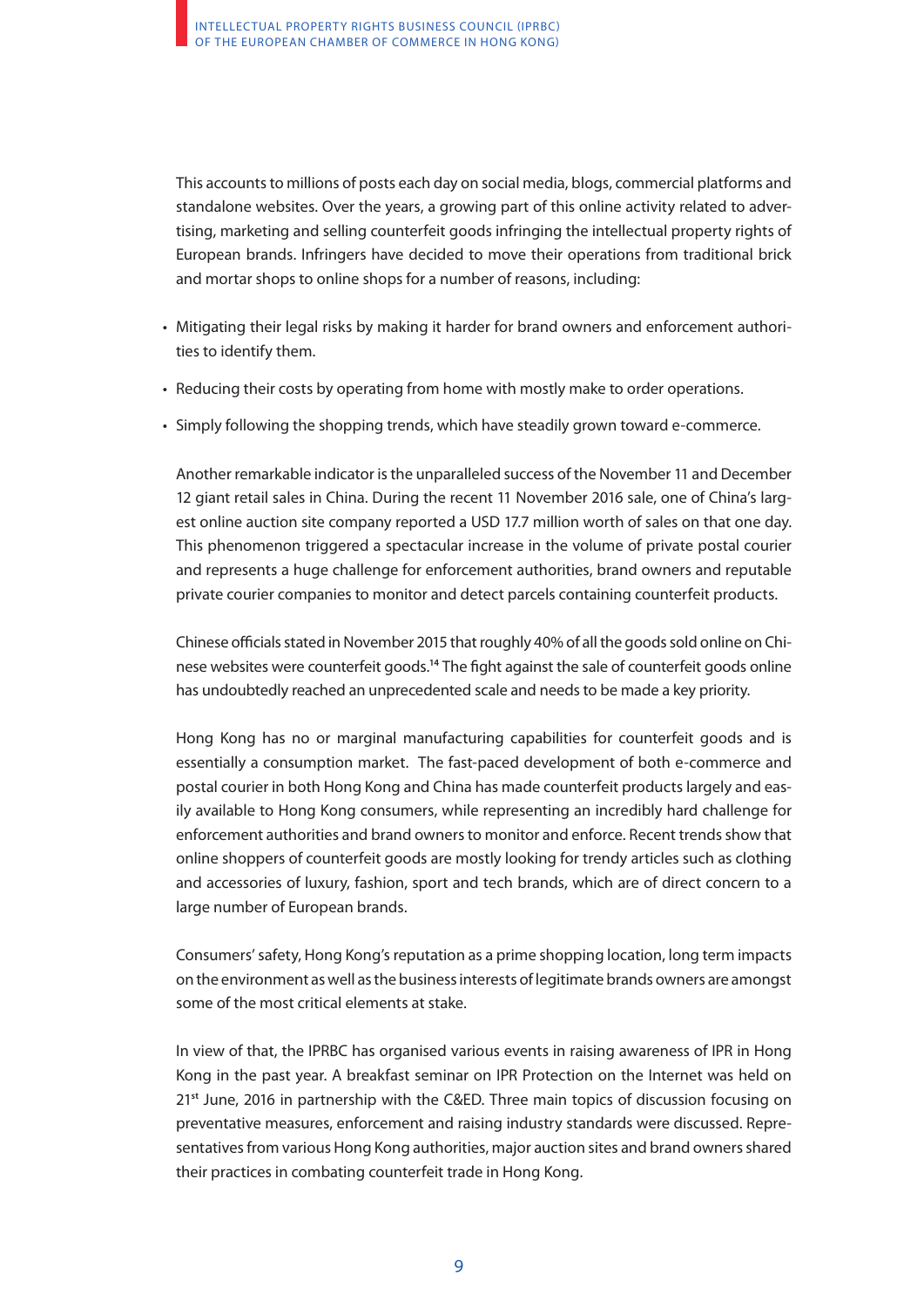This accounts to millions of posts each day on social media, blogs, commercial platforms and standalone websites. Over the years, a growing part of this online activity related to advertising, marketing and selling counterfeit goods infringing the intellectual property rights of European brands. Infringers have decided to move their operations from traditional brick and mortar shops to online shops for a number of reasons, including:

- Mitigating their legal risks by making it harder for brand owners and enforcement authorities to identify them.
- Reducing their costs by operating from home with mostly make to order operations.
- Simply following the shopping trends, which have steadily grown toward e-commerce.

Another remarkable indicator is the unparalleled success of the November 11 and December 12 giant retail sales in China. During the recent 11 November 2016 sale, one of China's largest online auction site company reported a USD 17.7 million worth of sales on that one day. This phenomenon triggered a spectacular increase in the volume of private postal courier and represents a huge challenge for enforcement authorities, brand owners and reputable private courier companies to monitor and detect parcels containing counterfeit products.

Chinese officials stated in November 2015 that roughly 40% of all the goods sold online on Chinese websites were counterfeit goods.**<sup>14</sup>** The fight against the sale of counterfeit goods online has undoubtedly reached an unprecedented scale and needs to be made a key priority.

Hong Kong has no or marginal manufacturing capabilities for counterfeit goods and is essentially a consumption market. The fast-paced development of both e-commerce and postal courier in both Hong Kong and China has made counterfeit products largely and easily available to Hong Kong consumers, while representing an incredibly hard challenge for enforcement authorities and brand owners to monitor and enforce. Recent trends show that online shoppers of counterfeit goods are mostly looking for trendy articles such as clothing and accessories of luxury, fashion, sport and tech brands, which are of direct concern to a large number of European brands.

Consumers' safety, Hong Kong's reputation as a prime shopping location, long term impacts on the environment as well as the business interests of legitimate brands owners are amongst some of the most critical elements at stake.

In view of that, the IPRBC has organised various events in raising awareness of IPR in Hong Kong in the past year. A breakfast seminar on IPR Protection on the Internet was held on 21**st** June, 2016 in partnership with the C&ED. Three main topics of discussion focusing on preventative measures, enforcement and raising industry standards were discussed. Representatives from various Hong Kong authorities, major auction sites and brand owners shared their practices in combating counterfeit trade in Hong Kong.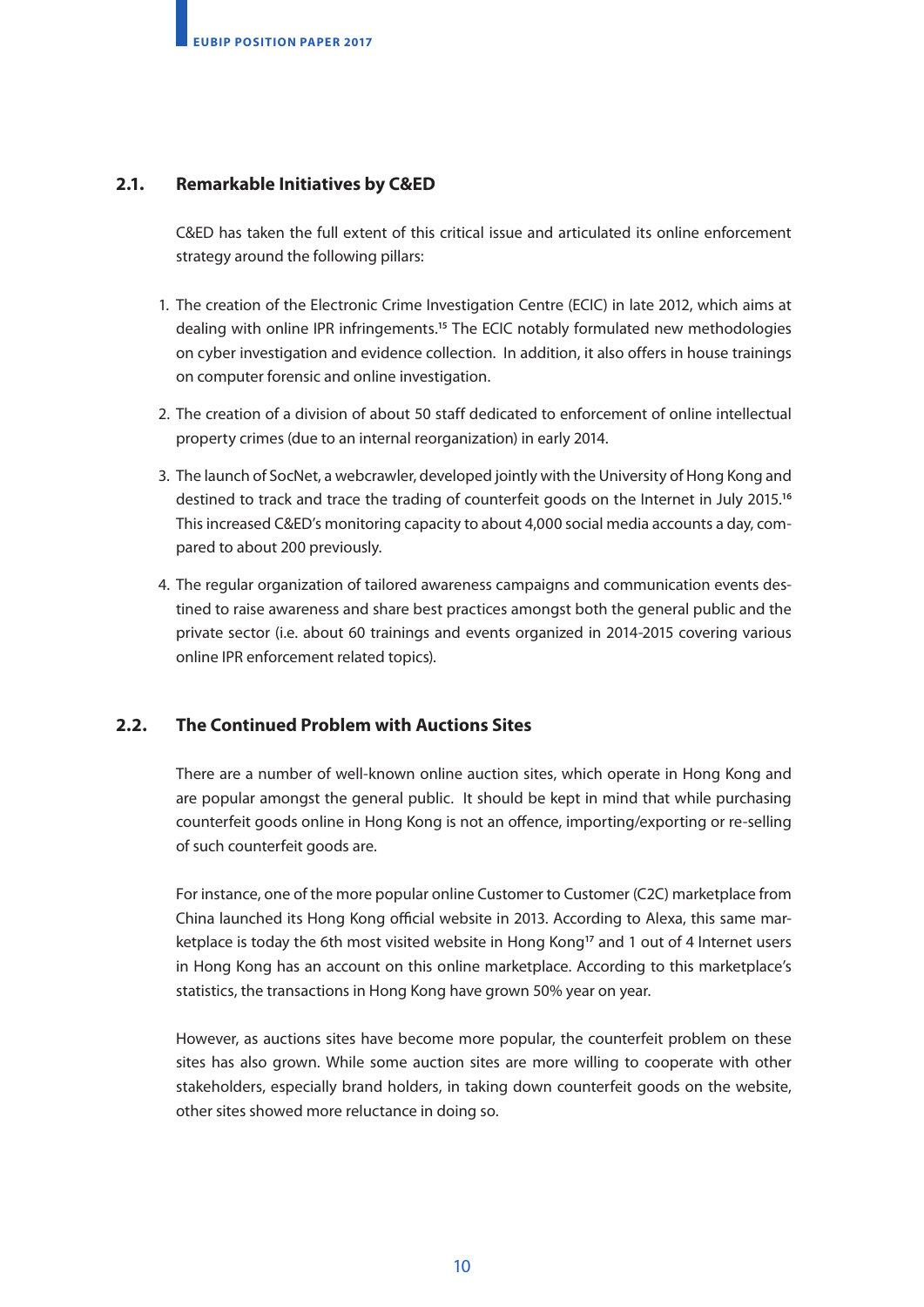### **2.1. Remarkable Initiatives by C&ED**

C&ED has taken the full extent of this critical issue and articulated its online enforcement strategy around the following pillars:

- 1. The creation of the Electronic Crime Investigation Centre (ECIC) in late 2012, which aims at dealing with online IPR infringements.**<sup>15</sup>** The ECIC notably formulated new methodologies on cyber investigation and evidence collection. In addition, it also offers in house trainings on computer forensic and online investigation.
- 2. The creation of a division of about 50 staff dedicated to enforcement of online intellectual property crimes (due to an internal reorganization) in early 2014.
- 3. The launch of SocNet, a webcrawler, developed jointly with the University of Hong Kong and destined to track and trace the trading of counterfeit goods on the Internet in July 2015.**<sup>16</sup>** This increased C&ED's monitoring capacity to about 4,000 social media accounts a day, compared to about 200 previously.
- 4. The regular organization of tailored awareness campaigns and communication events destined to raise awareness and share best practices amongst both the general public and the private sector (i.e. about 60 trainings and events organized in 2014-2015 covering various online IPR enforcement related topics).

### **2.2. The Continued Problem with Auctions Sites**

There are a number of well-known online auction sites, which operate in Hong Kong and are popular amongst the general public. It should be kept in mind that while purchasing counterfeit goods online in Hong Kong is not an offence, importing/exporting or re-selling of such counterfeit goods are.

For instance, one of the more popular online Customer to Customer (C2C) marketplace from China launched its Hong Kong official website in 2013. According to Alexa, this same marketplace is today the 6th most visited website in Hong Kong**17** and 1 out of 4 Internet users in Hong Kong has an account on this online marketplace. According to this marketplace's statistics, the transactions in Hong Kong have grown 50% year on year.

However, as auctions sites have become more popular, the counterfeit problem on these sites has also grown. While some auction sites are more willing to cooperate with other stakeholders, especially brand holders, in taking down counterfeit goods on the website, other sites showed more reluctance in doing so.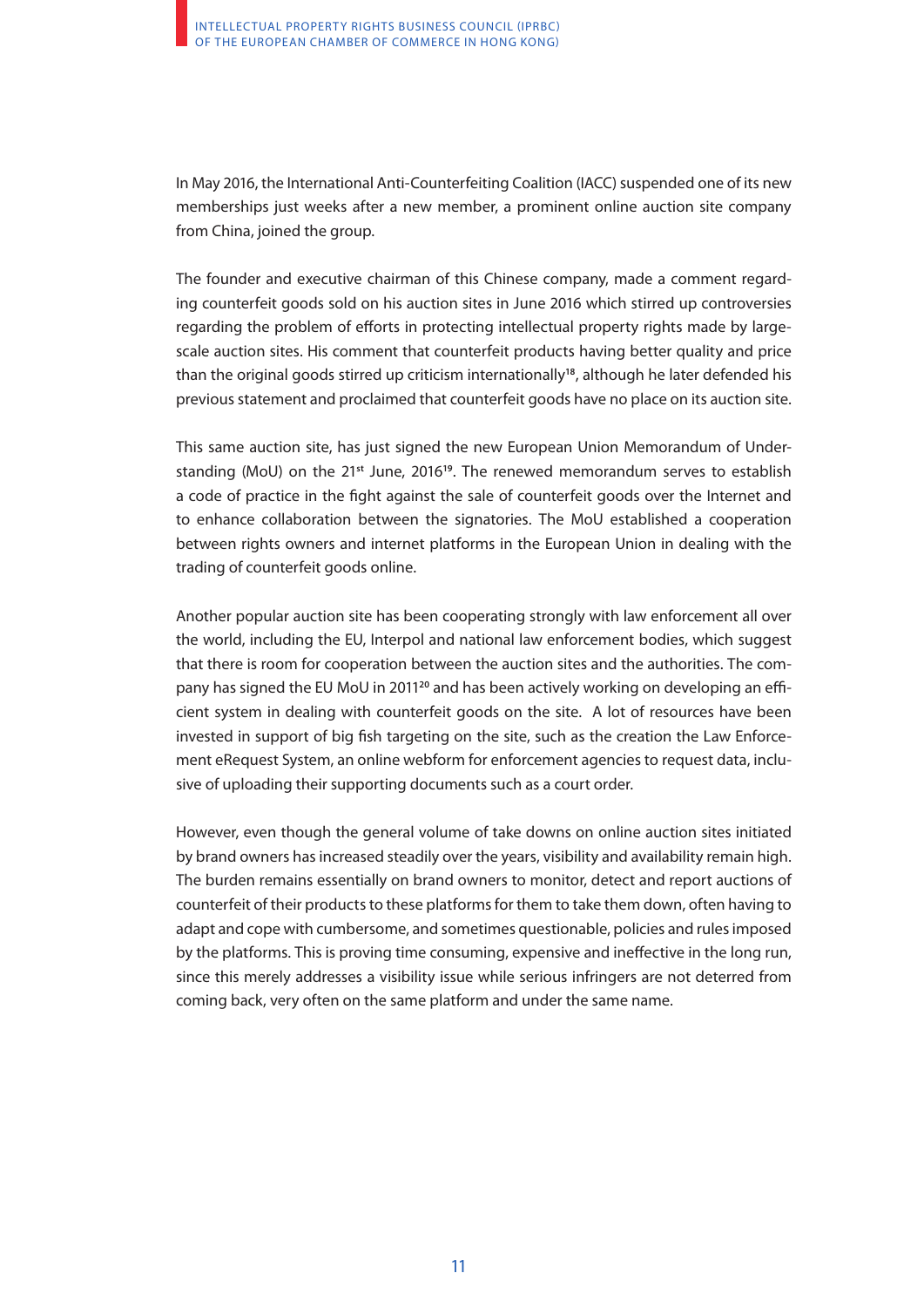In May 2016, the International Anti-Counterfeiting Coalition (IACC) suspended one of its new memberships just weeks after a new member, a prominent online auction site company from China, joined the group.

The founder and executive chairman of this Chinese company, made a comment regarding counterfeit goods sold on his auction sites in June 2016 which stirred up controversies regarding the problem of efforts in protecting intellectual property rights made by largescale auction sites. His comment that counterfeit products having better quality and price than the original goods stirred up criticism internationally**18**, although he later defended his previous statement and proclaimed that counterfeit goods have no place on its auction site.

This same auction site, has just signed the new European Union Memorandum of Understanding (MoU) on the 21**st** June, 2016**19**. The renewed memorandum serves to establish a code of practice in the fight against the sale of counterfeit goods over the Internet and to enhance collaboration between the signatories. The MoU established a cooperation between rights owners and internet platforms in the European Union in dealing with the trading of counterfeit goods online.

Another popular auction site has been cooperating strongly with law enforcement all over the world, including the EU, Interpol and national law enforcement bodies, which suggest that there is room for cooperation between the auction sites and the authorities. The company has signed the EU MoU in 2011**20** and has been actively working on developing an efficient system in dealing with counterfeit goods on the site. A lot of resources have been invested in support of big fish targeting on the site, such as the creation the Law Enforcement eRequest System, an online webform for enforcement agencies to request data, inclusive of uploading their supporting documents such as a court order.

However, even though the general volume of take downs on online auction sites initiated by brand owners has increased steadily over the years, visibility and availability remain high. The burden remains essentially on brand owners to monitor, detect and report auctions of counterfeit of their products to these platforms for them to take them down, often having to adapt and cope with cumbersome, and sometimes questionable, policies and rules imposed by the platforms. This is proving time consuming, expensive and ineffective in the long run, since this merely addresses a visibility issue while serious infringers are not deterred from coming back, very often on the same platform and under the same name.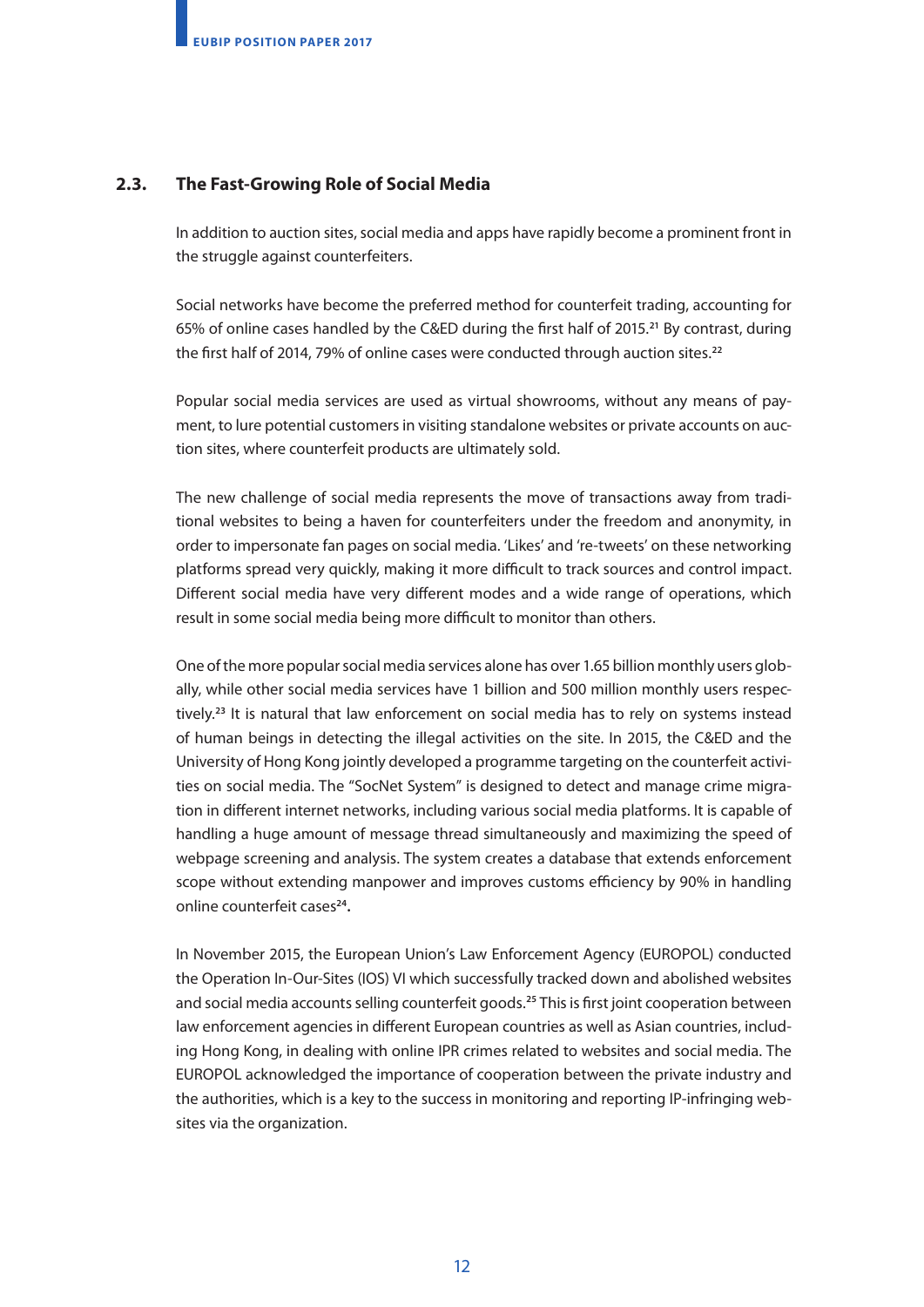### **2.3. The Fast-Growing Role of Social Media**

In addition to auction sites, social media and apps have rapidly become a prominent front in the struggle against counterfeiters.

Social networks have become the preferred method for counterfeit trading, accounting for 65% of online cases handled by the C&ED during the first half of 2015.**21** By contrast, during the first half of 2014, 79% of online cases were conducted through auction sites.**<sup>22</sup>**

Popular social media services are used as virtual showrooms, without any means of payment, to lure potential customers in visiting standalone websites or private accounts on auction sites, where counterfeit products are ultimately sold.

The new challenge of social media represents the move of transactions away from traditional websites to being a haven for counterfeiters under the freedom and anonymity, in order to impersonate fan pages on social media. 'Likes' and 're-tweets' on these networking platforms spread very quickly, making it more difficult to track sources and control impact. Different social media have very different modes and a wide range of operations, which result in some social media being more difficult to monitor than others.

One of the more popular social media services alone has over 1.65 billion monthly users globally, while other social media services have 1 billion and 500 million monthly users respectively.**23** It is natural that law enforcement on social media has to rely on systems instead of human beings in detecting the illegal activities on the site. In 2015, the C&ED and the University of Hong Kong jointly developed a programme targeting on the counterfeit activities on social media. The "SocNet System" is designed to detect and manage crime migration in different internet networks, including various social media platforms. It is capable of handling a huge amount of message thread simultaneously and maximizing the speed of webpage screening and analysis. The system creates a database that extends enforcement scope without extending manpower and improves customs efficiency by 90% in handling online counterfeit cases**24.**

In November 2015, the European Union's Law Enforcement Agency (EUROPOL) conducted the Operation In-Our-Sites (IOS) VI which successfully tracked down and abolished websites and social media accounts selling counterfeit goods.**<sup>25</sup>** This is first joint cooperation between law enforcement agencies in different European countries as well as Asian countries, including Hong Kong, in dealing with online IPR crimes related to websites and social media. The EUROPOL acknowledged the importance of cooperation between the private industry and the authorities, which is a key to the success in monitoring and reporting IP-infringing websites via the organization.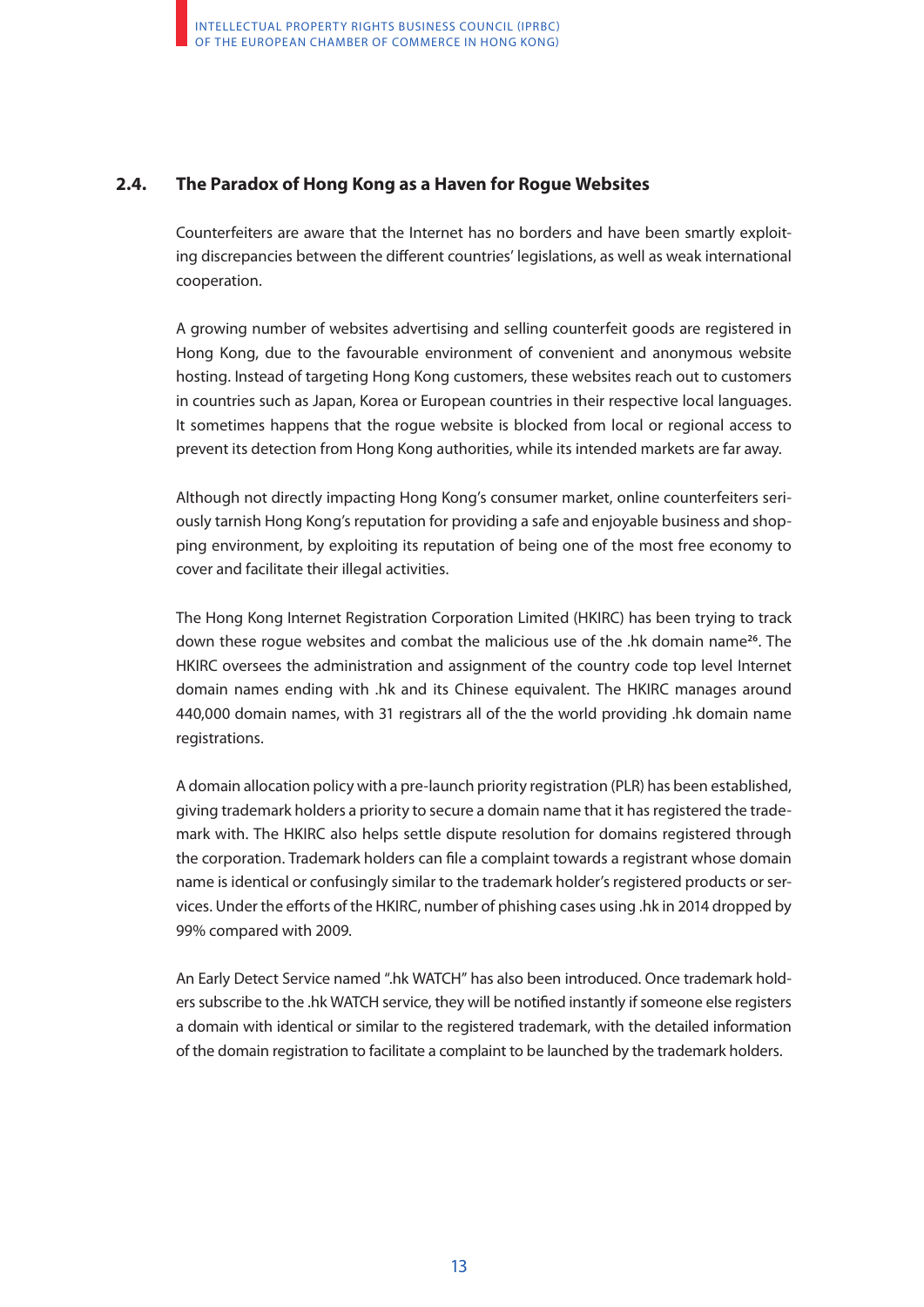### **2.4. The Paradox of Hong Kong as a Haven for Rogue Websites**

Counterfeiters are aware that the Internet has no borders and have been smartly exploiting discrepancies between the different countries' legislations, as well as weak international cooperation.

A growing number of websites advertising and selling counterfeit goods are registered in Hong Kong, due to the favourable environment of convenient and anonymous website hosting. Instead of targeting Hong Kong customers, these websites reach out to customers in countries such as Japan, Korea or European countries in their respective local languages. It sometimes happens that the rogue website is blocked from local or regional access to prevent its detection from Hong Kong authorities, while its intended markets are far away.

Although not directly impacting Hong Kong's consumer market, online counterfeiters seriously tarnish Hong Kong's reputation for providing a safe and enjoyable business and shopping environment, by exploiting its reputation of being one of the most free economy to cover and facilitate their illegal activities.

The Hong Kong Internet Registration Corporation Limited (HKIRC) has been trying to track down these rogue websites and combat the malicious use of the .hk domain name**26**. The HKIRC oversees the administration and assignment of the country code top level Internet domain names ending with .hk and its Chinese equivalent. The HKIRC manages around 440,000 domain names, with 31 registrars all of the the world providing .hk domain name registrations.

A domain allocation policy with a pre-launch priority registration (PLR) has been established, giving trademark holders a priority to secure a domain name that it has registered the trademark with. The HKIRC also helps settle dispute resolution for domains registered through the corporation. Trademark holders can file a complaint towards a registrant whose domain name is identical or confusingly similar to the trademark holder's registered products or services. Under the efforts of the HKIRC, number of phishing cases using .hk in 2014 dropped by 99% compared with 2009.

An Early Detect Service named ".hk WATCH" has also been introduced. Once trademark holders subscribe to the .hk WATCH service, they will be notified instantly if someone else registers a domain with identical or similar to the registered trademark, with the detailed information of the domain registration to facilitate a complaint to be launched by the trademark holders.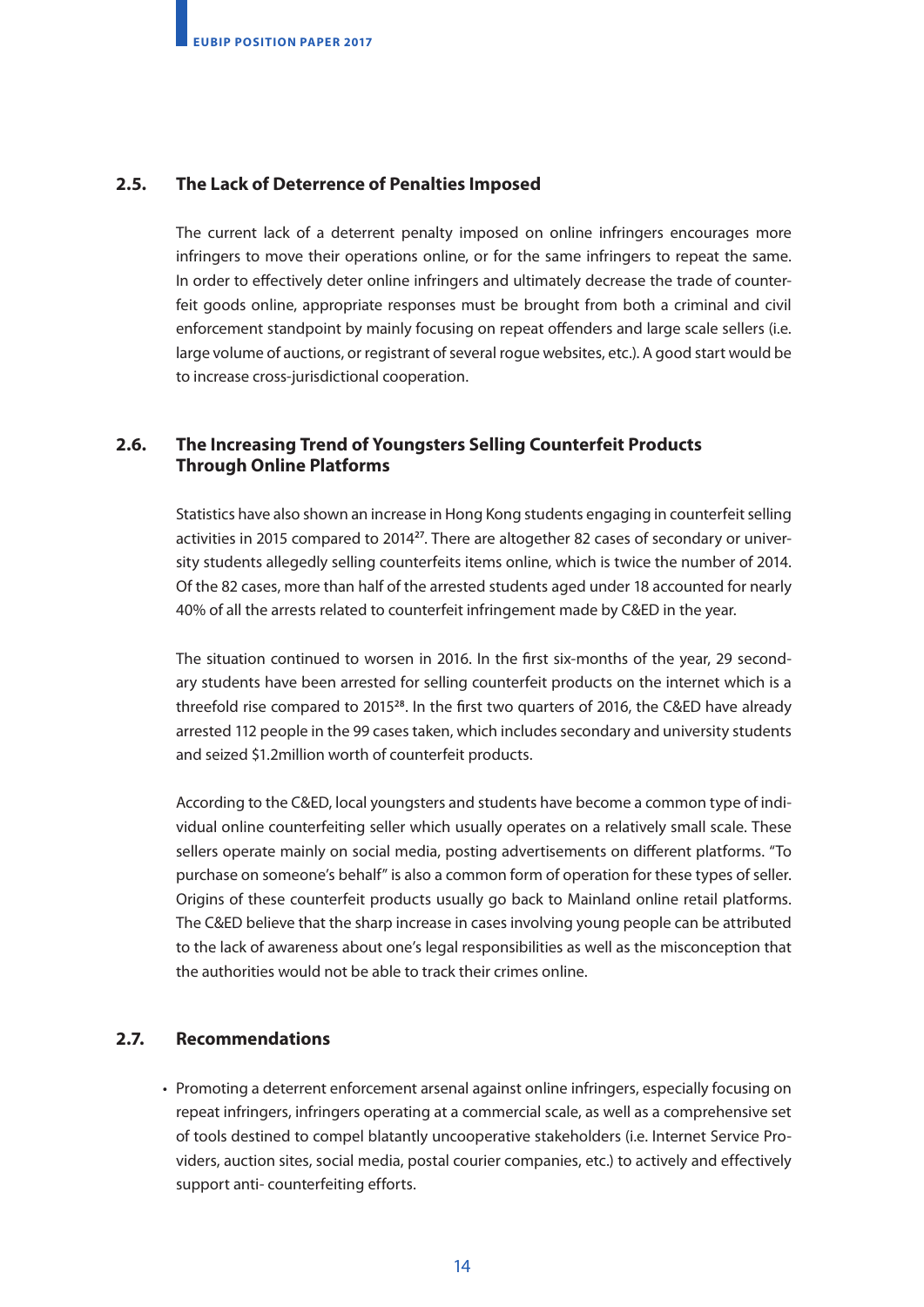### **2.5. The Lack of Deterrence of Penalties Imposed**

The current lack of a deterrent penalty imposed on online infringers encourages more infringers to move their operations online, or for the same infringers to repeat the same. In order to effectively deter online infringers and ultimately decrease the trade of counterfeit goods online, appropriate responses must be brought from both a criminal and civil enforcement standpoint by mainly focusing on repeat offenders and large scale sellers (i.e. large volume of auctions, or registrant of several rogue websites, etc.). A good start would be to increase cross-jurisdictional cooperation.

### **2.6. The Increasing Trend of Youngsters Selling Counterfeit Products Through Online Platforms**

Statistics have also shown an increase in Hong Kong students engaging in counterfeit selling activities in 2015 compared to 2014**27**. There are altogether 82 cases of secondary or university students allegedly selling counterfeits items online, which is twice the number of 2014. Of the 82 cases, more than half of the arrested students aged under 18 accounted for nearly 40% of all the arrests related to counterfeit infringement made by C&ED in the year.

The situation continued to worsen in 2016. In the first six-months of the year, 29 secondary students have been arrested for selling counterfeit products on the internet which is a threefold rise compared to 2015**28**. In the first two quarters of 2016, the C&ED have already arrested 112 people in the 99 cases taken, which includes secondary and university students and seized \$1.2million worth of counterfeit products.

According to the C&ED, local youngsters and students have become a common type of individual online counterfeiting seller which usually operates on a relatively small scale. These sellers operate mainly on social media, posting advertisements on different platforms. "To purchase on someone's behalf" is also a common form of operation for these types of seller. Origins of these counterfeit products usually go back to Mainland online retail platforms. The C&ED believe that the sharp increase in cases involving young people can be attributed to the lack of awareness about one's legal responsibilities as well as the misconception that the authorities would not be able to track their crimes online.

### **2.7. Recommendations**

• Promoting a deterrent enforcement arsenal against online infringers, especially focusing on repeat infringers, infringers operating at a commercial scale, as well as a comprehensive set of tools destined to compel blatantly uncooperative stakeholders (i.e. Internet Service Providers, auction sites, social media, postal courier companies, etc.) to actively and effectively support anti- counterfeiting efforts.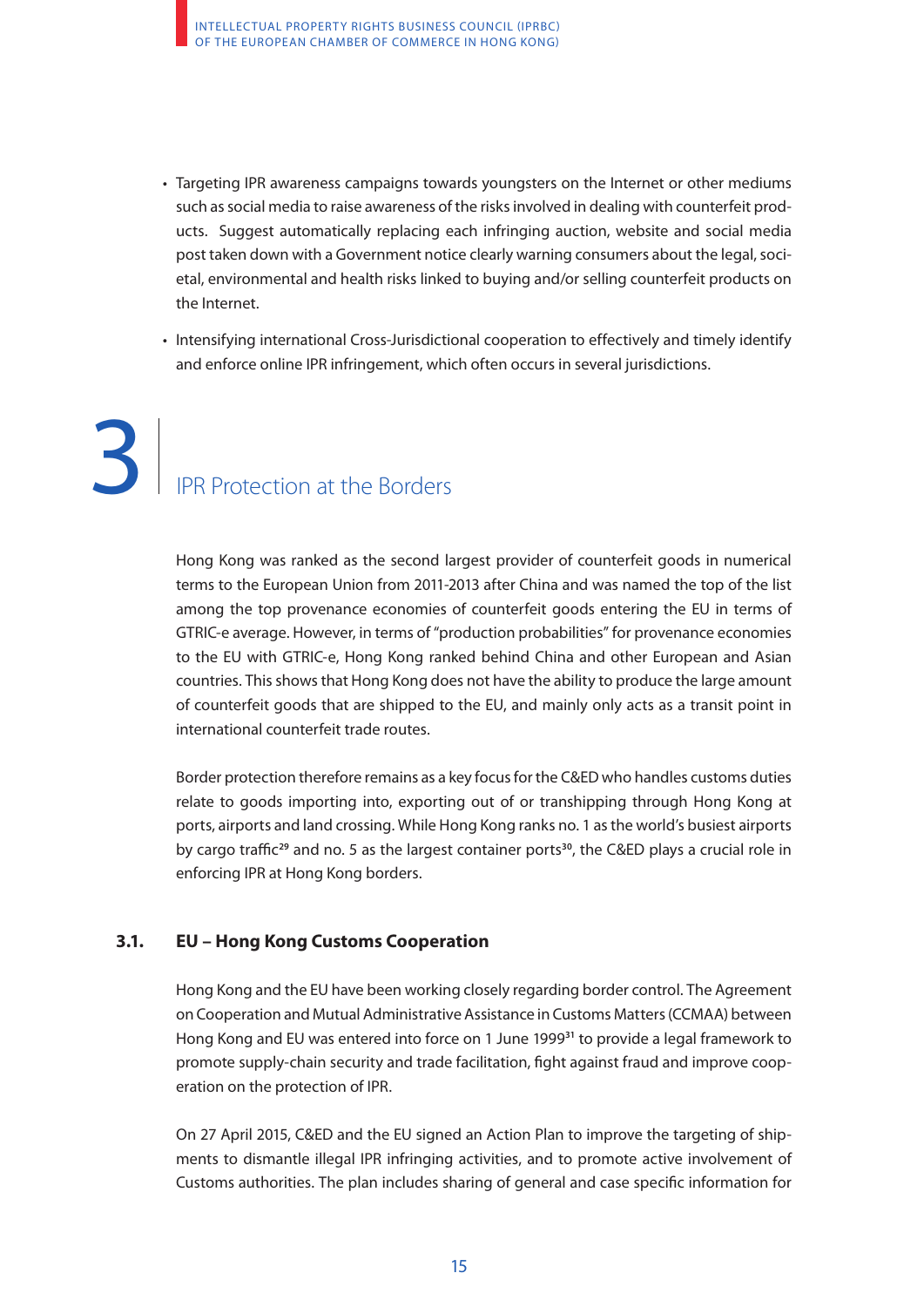- Targeting IPR awareness campaigns towards youngsters on the Internet or other mediums such as social media to raise awareness of the risks involved in dealing with counterfeit products. Suggest automatically replacing each infringing auction, website and social media post taken down with a Government notice clearly warning consumers about the legal, societal, environmental and health risks linked to buying and/or selling counterfeit products on the Internet.
- Intensifying international Cross-Jurisdictional cooperation to effectively and timely identify and enforce online IPR infringement, which often occurs in several jurisdictions.

# 3. IPR Protection at the Borders 3

Hong Kong was ranked as the second largest provider of counterfeit goods in numerical terms to the European Union from 2011-2013 after China and was named the top of the list among the top provenance economies of counterfeit goods entering the EU in terms of GTRIC-e average. However, in terms of "production probabilities" for provenance economies to the EU with GTRIC-e, Hong Kong ranked behind China and other European and Asian countries. This shows that Hong Kong does not have the ability to produce the large amount of counterfeit goods that are shipped to the EU, and mainly only acts as a transit point in international counterfeit trade routes.

Border protection therefore remains as a key focus for the C&ED who handles customs duties relate to goods importing into, exporting out of or transhipping through Hong Kong at ports, airports and land crossing. While Hong Kong ranks no. 1 as the world's busiest airports by cargo traffic**29** and no. 5 as the largest container ports**30**, the C&ED plays a crucial role in enforcing IPR at Hong Kong borders.

### **3.1. EU – Hong Kong Customs Cooperation**

Hong Kong and the EU have been working closely regarding border control. The Agreement on Cooperation and Mutual Administrative Assistance in Customs Matters (CCMAA) between Hong Kong and EU was entered into force on 1 June 1999**31** to provide a legal framework to promote supply-chain security and trade facilitation, fight against fraud and improve cooperation on the protection of IPR.

On 27 April 2015, C&ED and the EU signed an Action Plan to improve the targeting of shipments to dismantle illegal IPR infringing activities, and to promote active involvement of Customs authorities. The plan includes sharing of general and case specific information for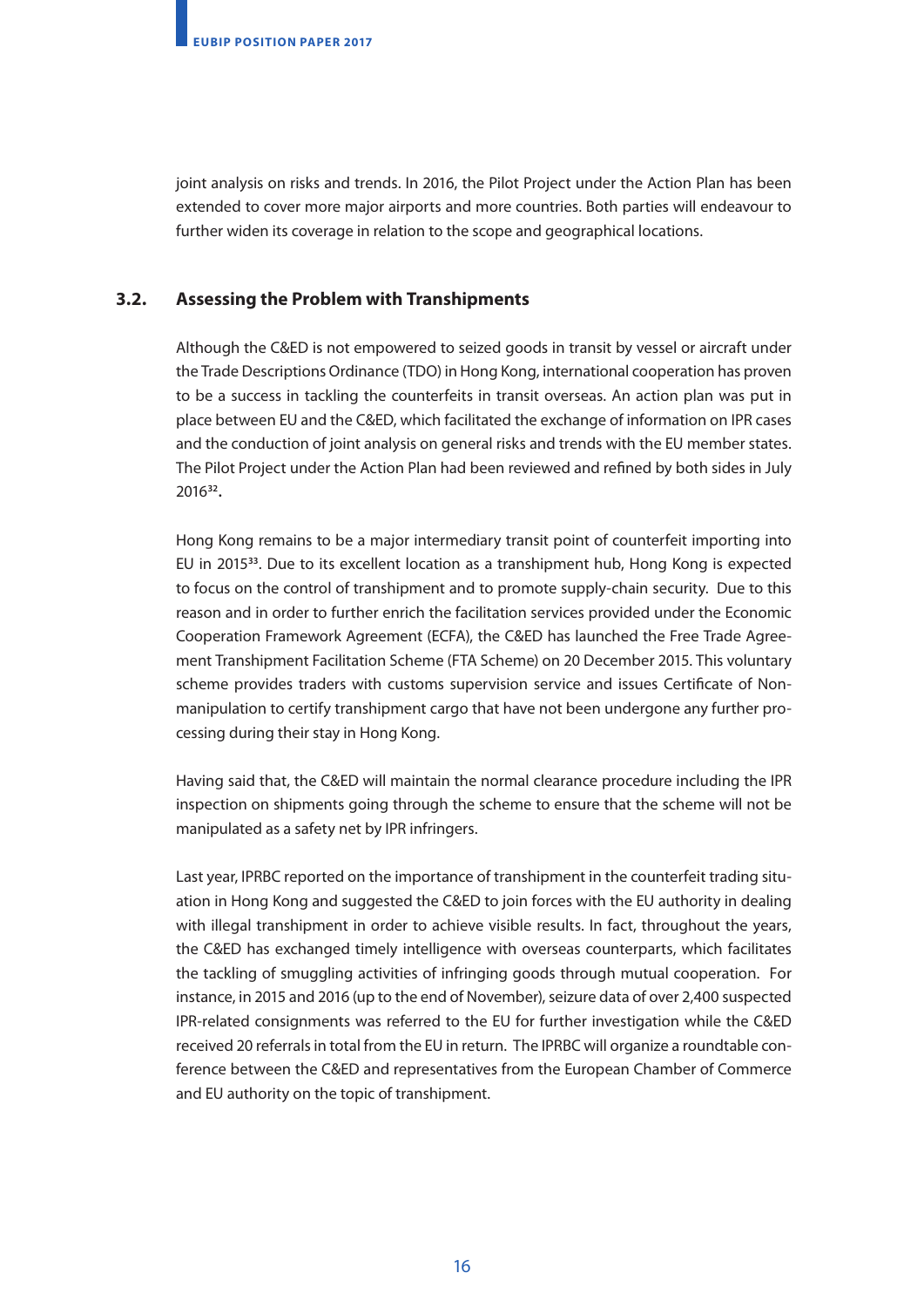joint analysis on risks and trends. In 2016, the Pilot Project under the Action Plan has been extended to cover more major airports and more countries. Both parties will endeavour to further widen its coverage in relation to the scope and geographical locations.

### **3.2. Assessing the Problem with Transhipments**

Although the C&ED is not empowered to seized goods in transit by vessel or aircraft under the Trade Descriptions Ordinance (TDO) in Hong Kong, international cooperation has proven to be a success in tackling the counterfeits in transit overseas. An action plan was put in place between EU and the C&ED, which facilitated the exchange of information on IPR cases and the conduction of joint analysis on general risks and trends with the EU member states. The Pilot Project under the Action Plan had been reviewed and refined by both sides in July 2016**32.**

Hong Kong remains to be a major intermediary transit point of counterfeit importing into EU in 2015**33**. Due to its excellent location as a transhipment hub, Hong Kong is expected to focus on the control of transhipment and to promote supply-chain security. Due to this reason and in order to further enrich the facilitation services provided under the Economic Cooperation Framework Agreement (ECFA), the C&ED has launched the Free Trade Agreement Transhipment Facilitation Scheme (FTA Scheme) on 20 December 2015. This voluntary scheme provides traders with customs supervision service and issues Certificate of Nonmanipulation to certify transhipment cargo that have not been undergone any further processing during their stay in Hong Kong.

Having said that, the C&ED will maintain the normal clearance procedure including the IPR inspection on shipments going through the scheme to ensure that the scheme will not be manipulated as a safety net by IPR infringers.

Last year, IPRBC reported on the importance of transhipment in the counterfeit trading situation in Hong Kong and suggested the C&ED to join forces with the EU authority in dealing with illegal transhipment in order to achieve visible results. In fact, throughout the years, the C&ED has exchanged timely intelligence with overseas counterparts, which facilitates the tackling of smuggling activities of infringing goods through mutual cooperation. For instance, in 2015 and 2016 (up to the end of November), seizure data of over 2,400 suspected IPR-related consignments was referred to the EU for further investigation while the C&ED received 20 referrals in total from the EU in return. The IPRBC will organize a roundtable conference between the C&ED and representatives from the European Chamber of Commerce and EU authority on the topic of transhipment.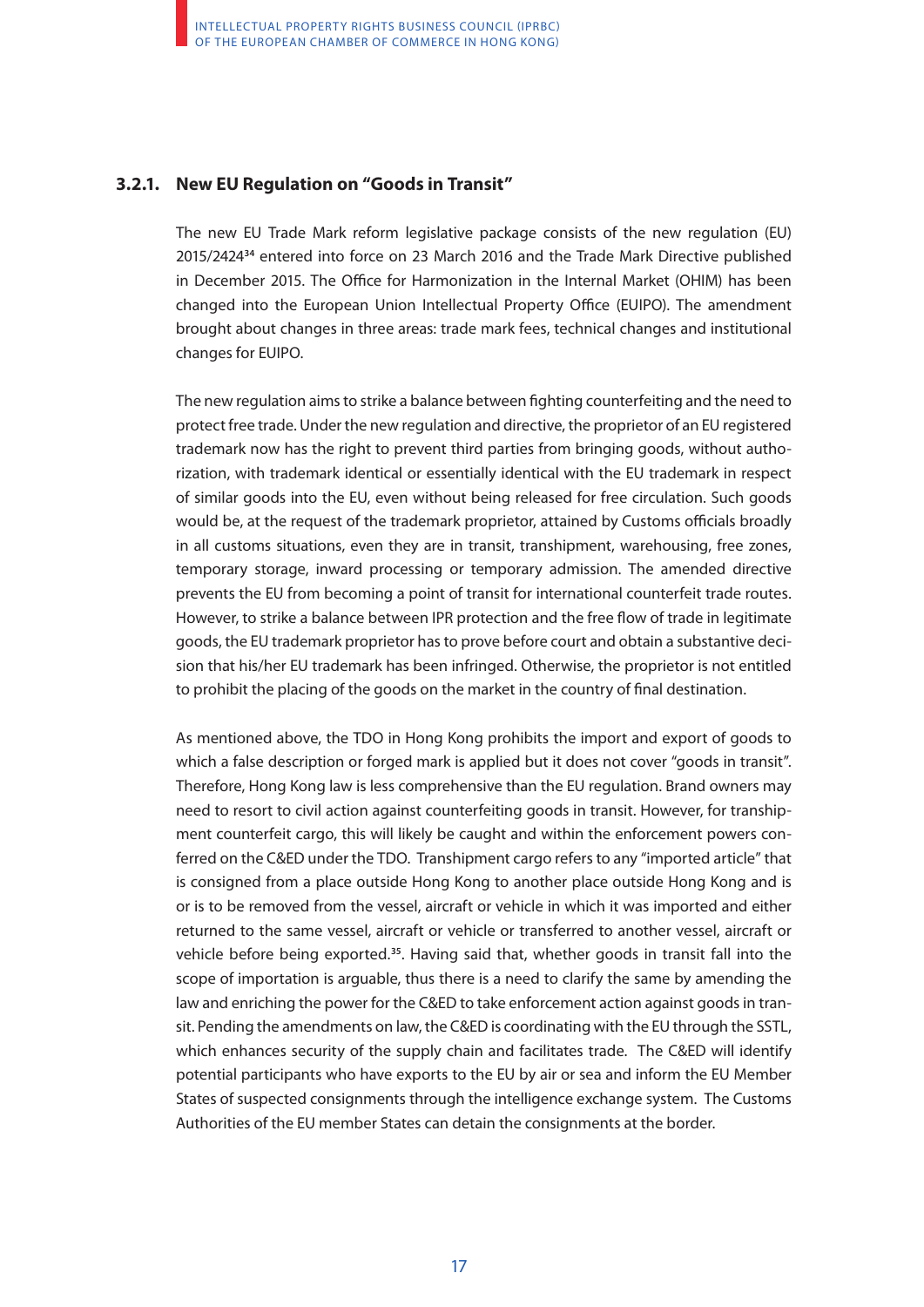### **3.2.1. New EU Regulation on "Goods in Transit"**

The new EU Trade Mark reform legislative package consists of the new regulation (EU) 2015/2424**34** entered into force on 23 March 2016 and the Trade Mark Directive published in December 2015. The Office for Harmonization in the Internal Market (OHIM) has been changed into the European Union Intellectual Property Office (EUIPO). The amendment brought about changes in three areas: trade mark fees, technical changes and institutional changes for EUIPO.

The new regulation aims to strike a balance between fighting counterfeiting and the need to protect free trade. Under the new regulation and directive, the proprietor of an EU registered trademark now has the right to prevent third parties from bringing goods, without authorization, with trademark identical or essentially identical with the EU trademark in respect of similar goods into the EU, even without being released for free circulation. Such goods would be, at the request of the trademark proprietor, attained by Customs officials broadly in all customs situations, even they are in transit, transhipment, warehousing, free zones, temporary storage, inward processing or temporary admission. The amended directive prevents the EU from becoming a point of transit for international counterfeit trade routes. However, to strike a balance between IPR protection and the free flow of trade in legitimate goods, the EU trademark proprietor has to prove before court and obtain a substantive decision that his/her EU trademark has been infringed. Otherwise, the proprietor is not entitled to prohibit the placing of the goods on the market in the country of final destination.

As mentioned above, the TDO in Hong Kong prohibits the import and export of goods to which a false description or forged mark is applied but it does not cover "goods in transit". Therefore, Hong Kong law is less comprehensive than the EU regulation. Brand owners may need to resort to civil action against counterfeiting goods in transit. However, for transhipment counterfeit cargo, this will likely be caught and within the enforcement powers conferred on the C&ED under the TDO. Transhipment cargo refers to any "imported article" that is consigned from a place outside Hong Kong to another place outside Hong Kong and is or is to be removed from the vessel, aircraft or vehicle in which it was imported and either returned to the same vessel, aircraft or vehicle or transferred to another vessel, aircraft or vehicle before being exported.**35**. Having said that, whether goods in transit fall into the scope of importation is arguable, thus there is a need to clarify the same by amending the law and enriching the power for the C&ED to take enforcement action against goods in transit. Pending the amendments on law, the C&ED is coordinating with the EU through the SSTL, which enhances security of the supply chain and facilitates trade. The C&ED will identify potential participants who have exports to the EU by air or sea and inform the EU Member States of suspected consignments through the intelligence exchange system. The Customs Authorities of the EU member States can detain the consignments at the border.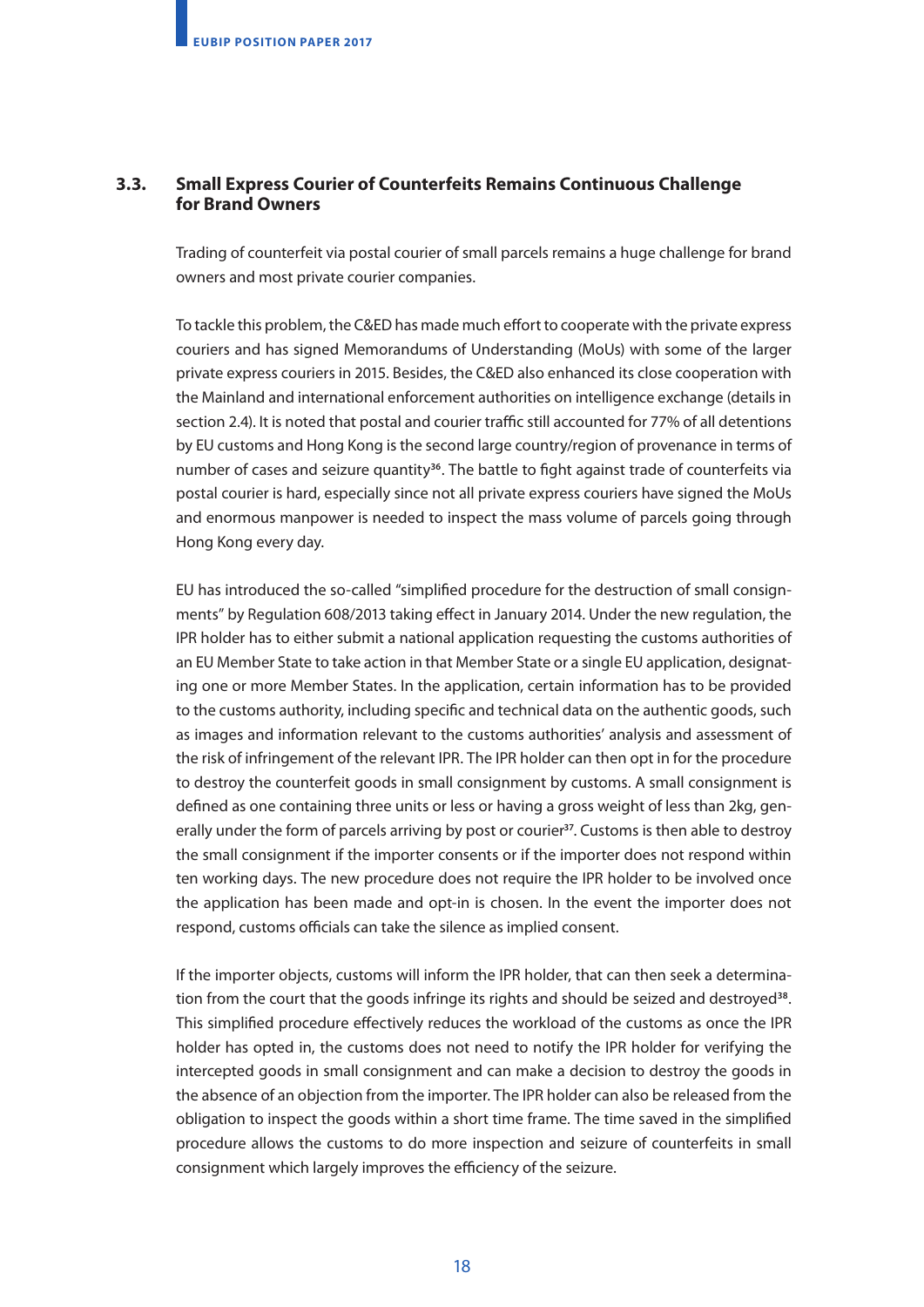### **3.3. Small Express Courier of Counterfeits Remains Continuous Challenge for Brand Owners**

Trading of counterfeit via postal courier of small parcels remains a huge challenge for brand owners and most private courier companies.

To tackle this problem, the C&ED has made much effort to cooperate with the private express couriers and has signed Memorandums of Understanding (MoUs) with some of the larger private express couriers in 2015. Besides, the C&ED also enhanced its close cooperation with the Mainland and international enforcement authorities on intelligence exchange (details in section 2.4). It is noted that postal and courier traffic still accounted for 77% of all detentions by EU customs and Hong Kong is the second large country/region of provenance in terms of number of cases and seizure quantity**36**. The battle to fight against trade of counterfeits via postal courier is hard, especially since not all private express couriers have signed the MoUs and enormous manpower is needed to inspect the mass volume of parcels going through Hong Kong every day.

EU has introduced the so-called "simplified procedure for the destruction of small consignments" by Regulation 608/2013 taking effect in January 2014. Under the new regulation, the IPR holder has to either submit a national application requesting the customs authorities of an EU Member State to take action in that Member State or a single EU application, designating one or more Member States. In the application, certain information has to be provided to the customs authority, including specific and technical data on the authentic goods, such as images and information relevant to the customs authorities' analysis and assessment of the risk of infringement of the relevant IPR. The IPR holder can then opt in for the procedure to destroy the counterfeit goods in small consignment by customs. A small consignment is defined as one containing three units or less or having a gross weight of less than 2kg, generally under the form of parcels arriving by post or courier**37**. Customs is then able to destroy the small consignment if the importer consents or if the importer does not respond within ten working days. The new procedure does not require the IPR holder to be involved once the application has been made and opt-in is chosen. In the event the importer does not respond, customs officials can take the silence as implied consent.

If the importer objects, customs will inform the IPR holder, that can then seek a determination from the court that the goods infringe its rights and should be seized and destroyed**38**. This simplified procedure effectively reduces the workload of the customs as once the IPR holder has opted in, the customs does not need to notify the IPR holder for verifying the intercepted goods in small consignment and can make a decision to destroy the goods in the absence of an objection from the importer. The IPR holder can also be released from the obligation to inspect the goods within a short time frame. The time saved in the simplified procedure allows the customs to do more inspection and seizure of counterfeits in small consignment which largely improves the efficiency of the seizure.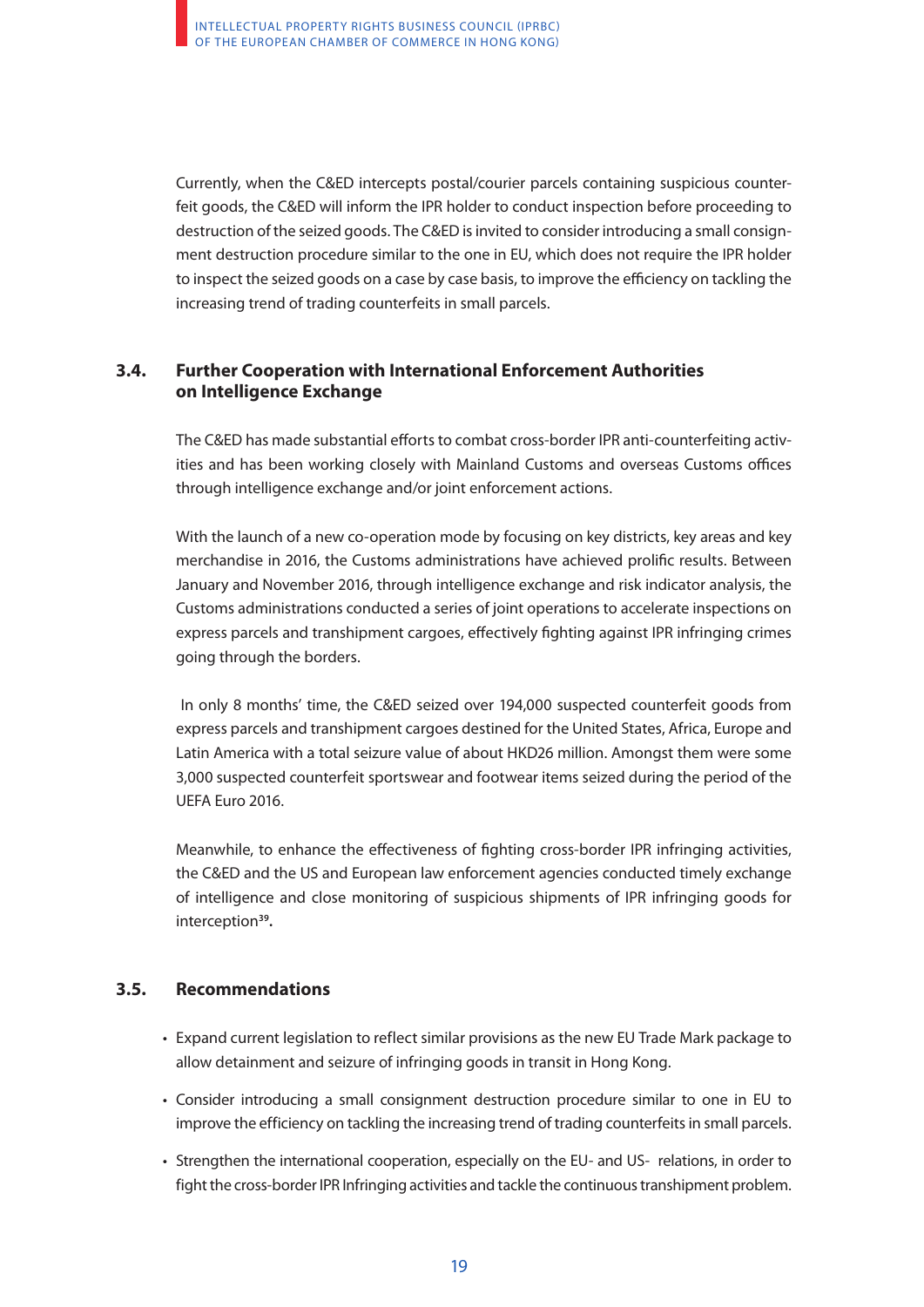Currently, when the C&ED intercepts postal/courier parcels containing suspicious counterfeit goods, the C&ED will inform the IPR holder to conduct inspection before proceeding to destruction of the seized goods. The C&ED is invited to consider introducing a small consignment destruction procedure similar to the one in EU, which does not require the IPR holder to inspect the seized goods on a case by case basis, to improve the efficiency on tackling the increasing trend of trading counterfeits in small parcels.

### **3.4. Further Cooperation with International Enforcement Authorities on Intelligence Exchange**

The C&ED has made substantial efforts to combat cross-border IPR anti-counterfeiting activities and has been working closely with Mainland Customs and overseas Customs offices through intelligence exchange and/or joint enforcement actions.

With the launch of a new co-operation mode by focusing on key districts, key areas and key merchandise in 2016, the Customs administrations have achieved prolific results. Between January and November 2016, through intelligence exchange and risk indicator analysis, the Customs administrations conducted a series of joint operations to accelerate inspections on express parcels and transhipment cargoes, effectively fighting against IPR infringing crimes going through the borders.

 In only 8 months' time, the C&ED seized over 194,000 suspected counterfeit goods from express parcels and transhipment cargoes destined for the United States, Africa, Europe and Latin America with a total seizure value of about HKD26 million. Amongst them were some 3,000 suspected counterfeit sportswear and footwear items seized during the period of the UEFA Euro 2016.

Meanwhile, to enhance the effectiveness of fighting cross-border IPR infringing activities, the C&ED and the US and European law enforcement agencies conducted timely exchange of intelligence and close monitoring of suspicious shipments of IPR infringing goods for interception**39.**

### **3.5. Recommendations**

- Expand current legislation to reflect similar provisions as the new EU Trade Mark package to allow detainment and seizure of infringing goods in transit in Hong Kong.
- Consider introducing a small consignment destruction procedure similar to one in EU to improve the efficiency on tackling the increasing trend of trading counterfeits in small parcels.
- Strengthen the international cooperation, especially on the EU- and US- relations, in order to fight the cross-border IPR Infringing activities and tackle the continuous transhipment problem.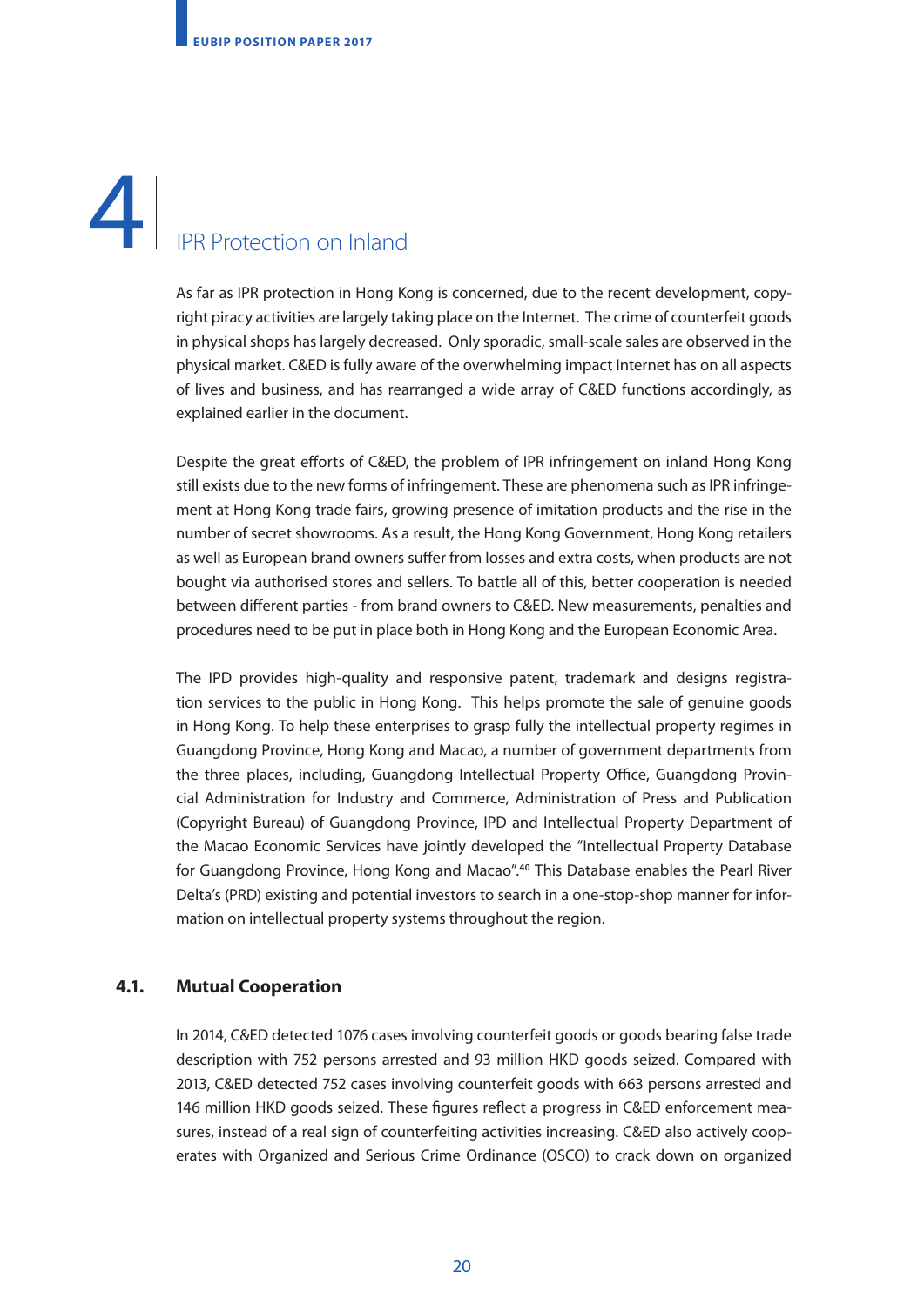# 4. IPR Protection on Inland 4

As far as IPR protection in Hong Kong is concerned, due to the recent development, copyright piracy activities are largely taking place on the Internet. The crime of counterfeit goods in physical shops has largely decreased. Only sporadic, small-scale sales are observed in the physical market. C&ED is fully aware of the overwhelming impact Internet has on all aspects of lives and business, and has rearranged a wide array of C&ED functions accordingly, as explained earlier in the document.

Despite the great efforts of C&ED, the problem of IPR infringement on inland Hong Kong still exists due to the new forms of infringement. These are phenomena such as IPR infringement at Hong Kong trade fairs, growing presence of imitation products and the rise in the number of secret showrooms. As a result, the Hong Kong Government, Hong Kong retailers as well as European brand owners suffer from losses and extra costs, when products are not bought via authorised stores and sellers. To battle all of this, better cooperation is needed between different parties - from brand owners to C&ED. New measurements, penalties and procedures need to be put in place both in Hong Kong and the European Economic Area.

The IPD provides high-quality and responsive patent, trademark and designs registration services to the public in Hong Kong. This helps promote the sale of genuine goods in Hong Kong. To help these enterprises to grasp fully the intellectual property regimes in Guangdong Province, Hong Kong and Macao, a number of government departments from the three places, including, Guangdong Intellectual Property Office, Guangdong Provincial Administration for Industry and Commerce, Administration of Press and Publication (Copyright Bureau) of Guangdong Province, IPD and Intellectual Property Department of the Macao Economic Services have jointly developed the "Intellectual Property Database for Guangdong Province, Hong Kong and Macao".**<sup>40</sup>** This Database enables the Pearl River Delta's (PRD) existing and potential investors to search in a one-stop-shop manner for information on intellectual property systems throughout the region.

### **4.1. Mutual Cooperation**

In 2014, C&ED detected 1076 cases involving counterfeit goods or goods bearing false trade description with 752 persons arrested and 93 million HKD goods seized. Compared with 2013, C&ED detected 752 cases involving counterfeit goods with 663 persons arrested and 146 million HKD goods seized. These figures reflect a progress in C&ED enforcement measures, instead of a real sign of counterfeiting activities increasing. C&ED also actively cooperates with Organized and Serious Crime Ordinance (OSCO) to crack down on organized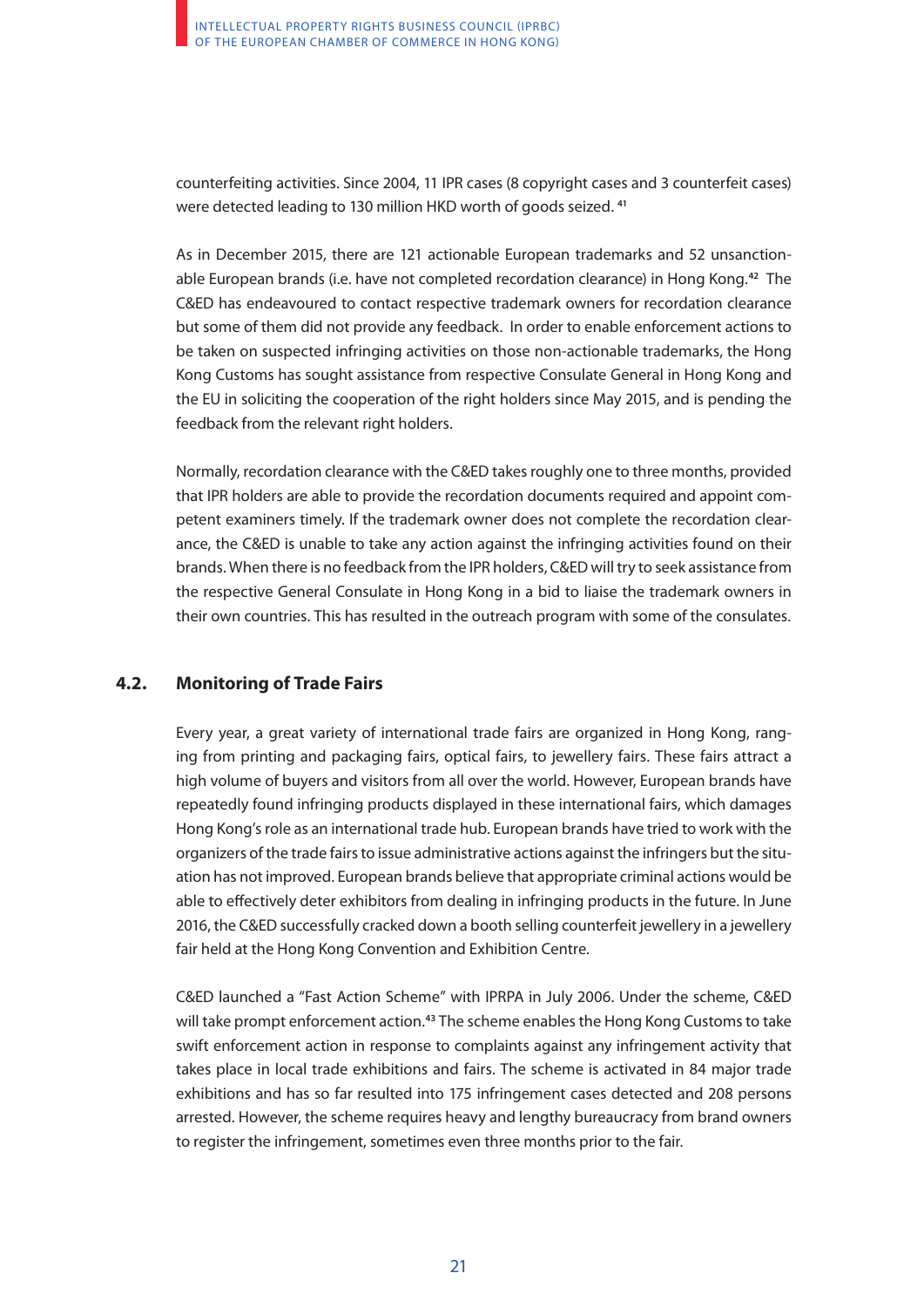counterfeiting activities. Since 2004, 11 IPR cases (8 copyright cases and 3 counterfeit cases) were detected leading to 130 million HKD worth of goods seized. **<sup>41</sup>**

As in December 2015, there are 121 actionable European trademarks and 52 unsanctionable European brands (i.e. have not completed recordation clearance) in Hong Kong.**42** The C&ED has endeavoured to contact respective trademark owners for recordation clearance but some of them did not provide any feedback. In order to enable enforcement actions to be taken on suspected infringing activities on those non-actionable trademarks, the Hong Kong Customs has sought assistance from respective Consulate General in Hong Kong and the EU in soliciting the cooperation of the right holders since May 2015, and is pending the feedback from the relevant right holders.

Normally, recordation clearance with the C&ED takes roughly one to three months, provided that IPR holders are able to provide the recordation documents required and appoint competent examiners timely. If the trademark owner does not complete the recordation clearance, the C&ED is unable to take any action against the infringing activities found on their brands. When there is no feedback from the IPR holders, C&ED will try to seek assistance from the respective General Consulate in Hong Kong in a bid to liaise the trademark owners in their own countries. This has resulted in the outreach program with some of the consulates.

### **4.2. Monitoring of Trade Fairs**

Every year, a great variety of international trade fairs are organized in Hong Kong, ranging from printing and packaging fairs, optical fairs, to jewellery fairs. These fairs attract a high volume of buyers and visitors from all over the world. However, European brands have repeatedly found infringing products displayed in these international fairs, which damages Hong Kong's role as an international trade hub. European brands have tried to work with the organizers of the trade fairs to issue administrative actions against the infringers but the situation has not improved. European brands believe that appropriate criminal actions would be able to effectively deter exhibitors from dealing in infringing products in the future. In June 2016, the C&ED successfully cracked down a booth selling counterfeit jewellery in a jewellery fair held at the Hong Kong Convention and Exhibition Centre.

C&ED launched a "Fast Action Scheme" with IPRPA in July 2006. Under the scheme, C&ED will take prompt enforcement action.**<sup>43</sup>** The scheme enables the Hong Kong Customs to take swift enforcement action in response to complaints against any infringement activity that takes place in local trade exhibitions and fairs. The scheme is activated in 84 major trade exhibitions and has so far resulted into 175 infringement cases detected and 208 persons arrested. However, the scheme requires heavy and lengthy bureaucracy from brand owners to register the infringement, sometimes even three months prior to the fair.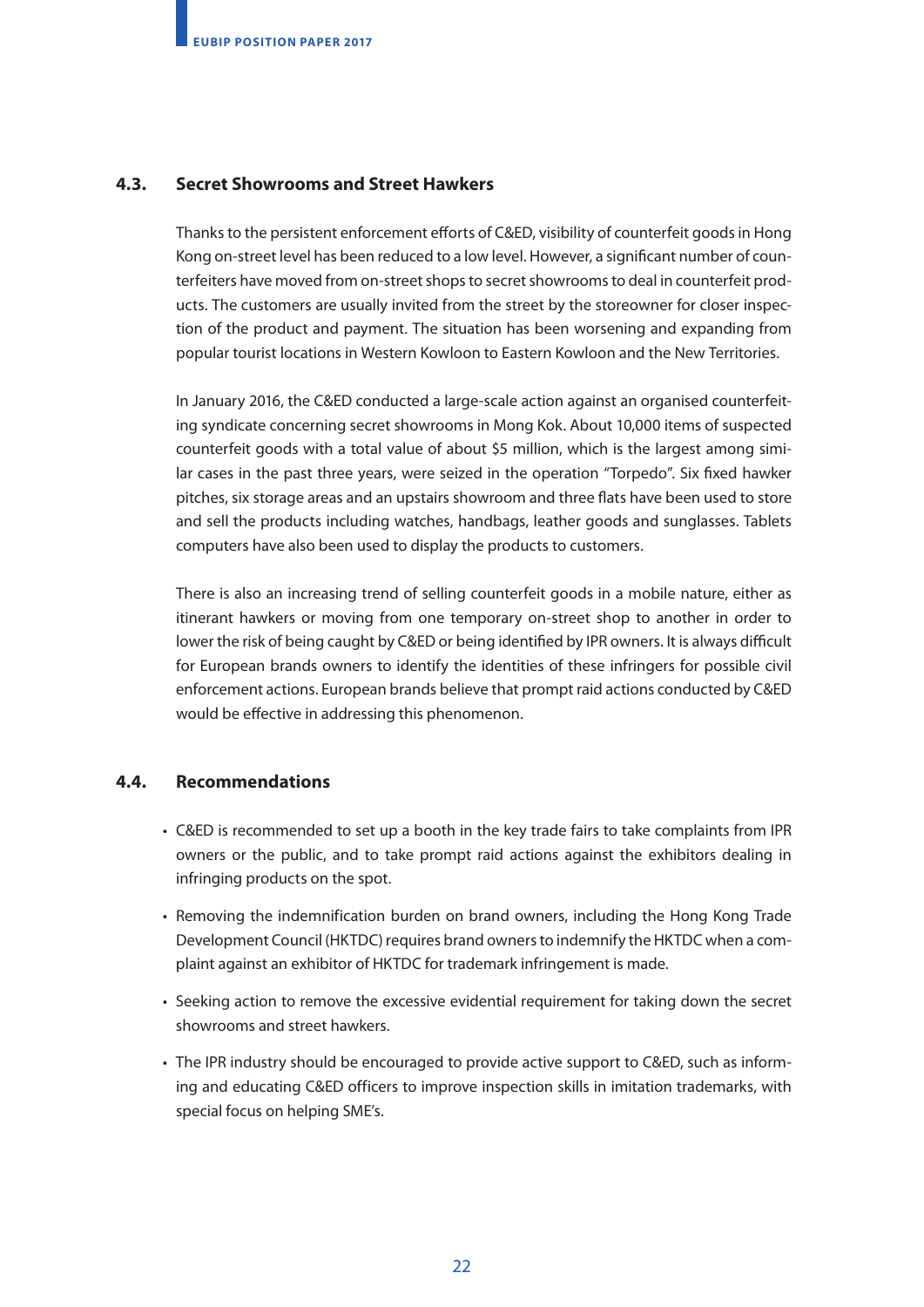### **4.3. Secret Showrooms and Street Hawkers**

Thanks to the persistent enforcement efforts of C&ED, visibility of counterfeit goods in Hong Kong on-street level has been reduced to a low level. However, a significant number of counterfeiters have moved from on-street shops to secret showrooms to deal in counterfeit products. The customers are usually invited from the street by the storeowner for closer inspection of the product and payment. The situation has been worsening and expanding from popular tourist locations in Western Kowloon to Eastern Kowloon and the New Territories.

In January 2016, the C&ED conducted a large-scale action against an organised counterfeiting syndicate concerning secret showrooms in Mong Kok. About 10,000 items of suspected counterfeit goods with a total value of about \$5 million, which is the largest among similar cases in the past three years, were seized in the operation "Torpedo". Six fixed hawker pitches, six storage areas and an upstairs showroom and three flats have been used to store and sell the products including watches, handbags, leather goods and sunglasses. Tablets computers have also been used to display the products to customers.

There is also an increasing trend of selling counterfeit goods in a mobile nature, either as itinerant hawkers or moving from one temporary on-street shop to another in order to lower the risk of being caught by C&ED or being identified by IPR owners. It is always difficult for European brands owners to identify the identities of these infringers for possible civil enforcement actions. European brands believe that prompt raid actions conducted by C&ED would be effective in addressing this phenomenon.

### **4.4. Recommendations**

- C&ED is recommended to set up a booth in the key trade fairs to take complaints from IPR owners or the public, and to take prompt raid actions against the exhibitors dealing in infringing products on the spot.
- Removing the indemnification burden on brand owners, including the Hong Kong Trade Development Council (HKTDC) requires brand owners to indemnify the HKTDC when a complaint against an exhibitor of HKTDC for trademark infringement is made.
- Seeking action to remove the excessive evidential requirement for taking down the secret showrooms and street hawkers.
- The IPR industry should be encouraged to provide active support to C&ED, such as informing and educating C&ED officers to improve inspection skills in imitation trademarks, with special focus on helping SME's.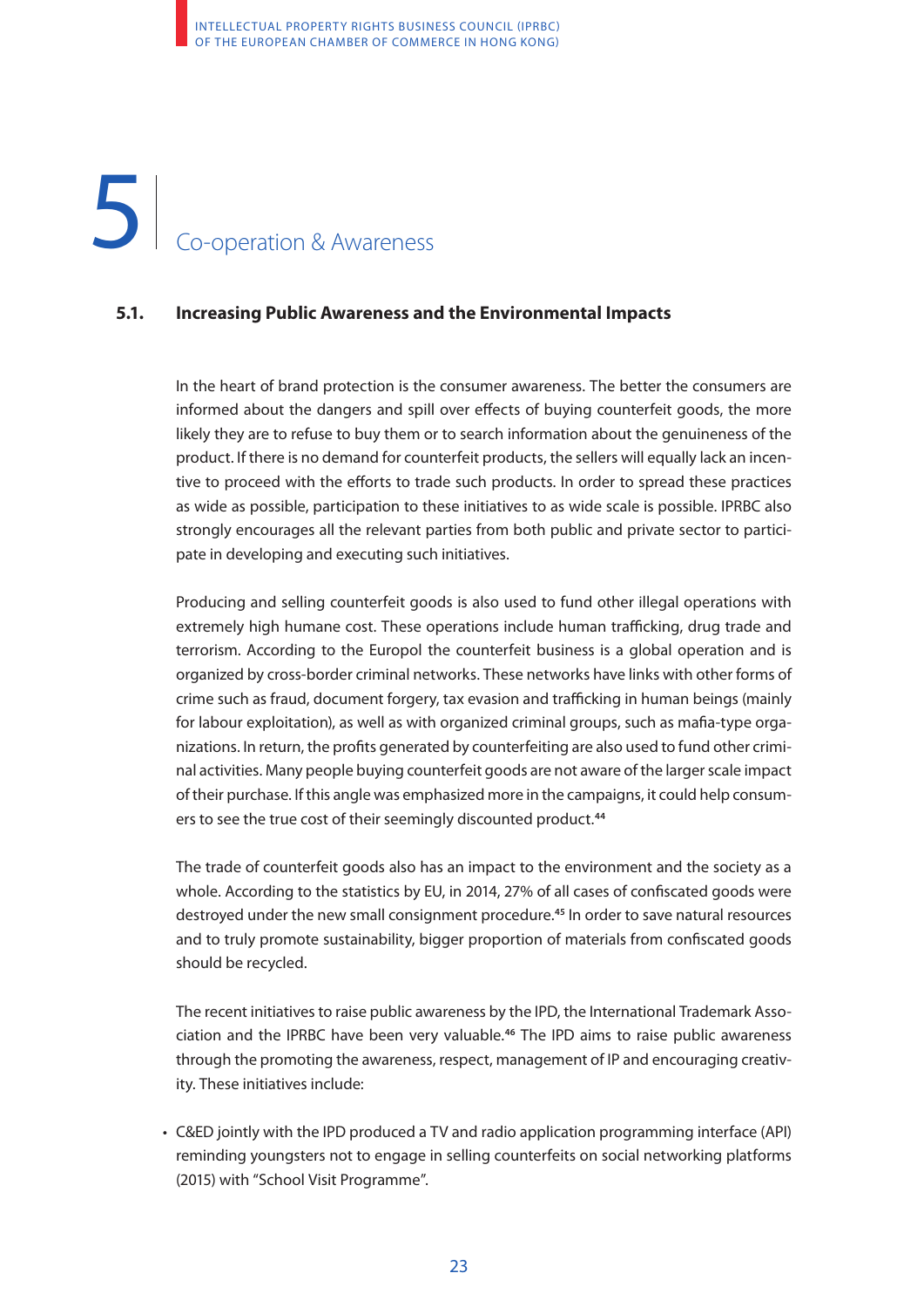# 1 Co-operation & Awareness 5

### **5.1. Increasing Public Awareness and the Environmental Impacts**

In the heart of brand protection is the consumer awareness. The better the consumers are informed about the dangers and spill over effects of buying counterfeit goods, the more likely they are to refuse to buy them or to search information about the genuineness of the product. If there is no demand for counterfeit products, the sellers will equally lack an incentive to proceed with the efforts to trade such products. In order to spread these practices as wide as possible, participation to these initiatives to as wide scale is possible. IPRBC also strongly encourages all the relevant parties from both public and private sector to participate in developing and executing such initiatives.

Producing and selling counterfeit goods is also used to fund other illegal operations with extremely high humane cost. These operations include human trafficking, drug trade and terrorism. According to the Europol the counterfeit business is a global operation and is organized by cross-border criminal networks. These networks have links with other forms of crime such as fraud, document forgery, tax evasion and trafficking in human beings (mainly for labour exploitation), as well as with organized criminal groups, such as mafia-type organizations. In return, the profits generated by counterfeiting are also used to fund other criminal activities. Many people buying counterfeit goods are not aware of the larger scale impact of their purchase. If this angle was emphasized more in the campaigns, it could help consumers to see the true cost of their seemingly discounted product.**<sup>44</sup>**

The trade of counterfeit goods also has an impact to the environment and the society as a whole. According to the statistics by EU, in 2014, 27% of all cases of confiscated goods were destroyed under the new small consignment procedure.**45** In order to save natural resources and to truly promote sustainability, bigger proportion of materials from confiscated goods should be recycled.

The recent initiatives to raise public awareness by the IPD, the International Trademark Association and the IPRBC have been very valuable.**<sup>46</sup>** The IPD aims to raise public awareness through the promoting the awareness, respect, management of IP and encouraging creativity. These initiatives include:

• C&ED jointly with the IPD produced a TV and radio application programming interface (API) reminding youngsters not to engage in selling counterfeits on social networking platforms (2015) with "School Visit Programme".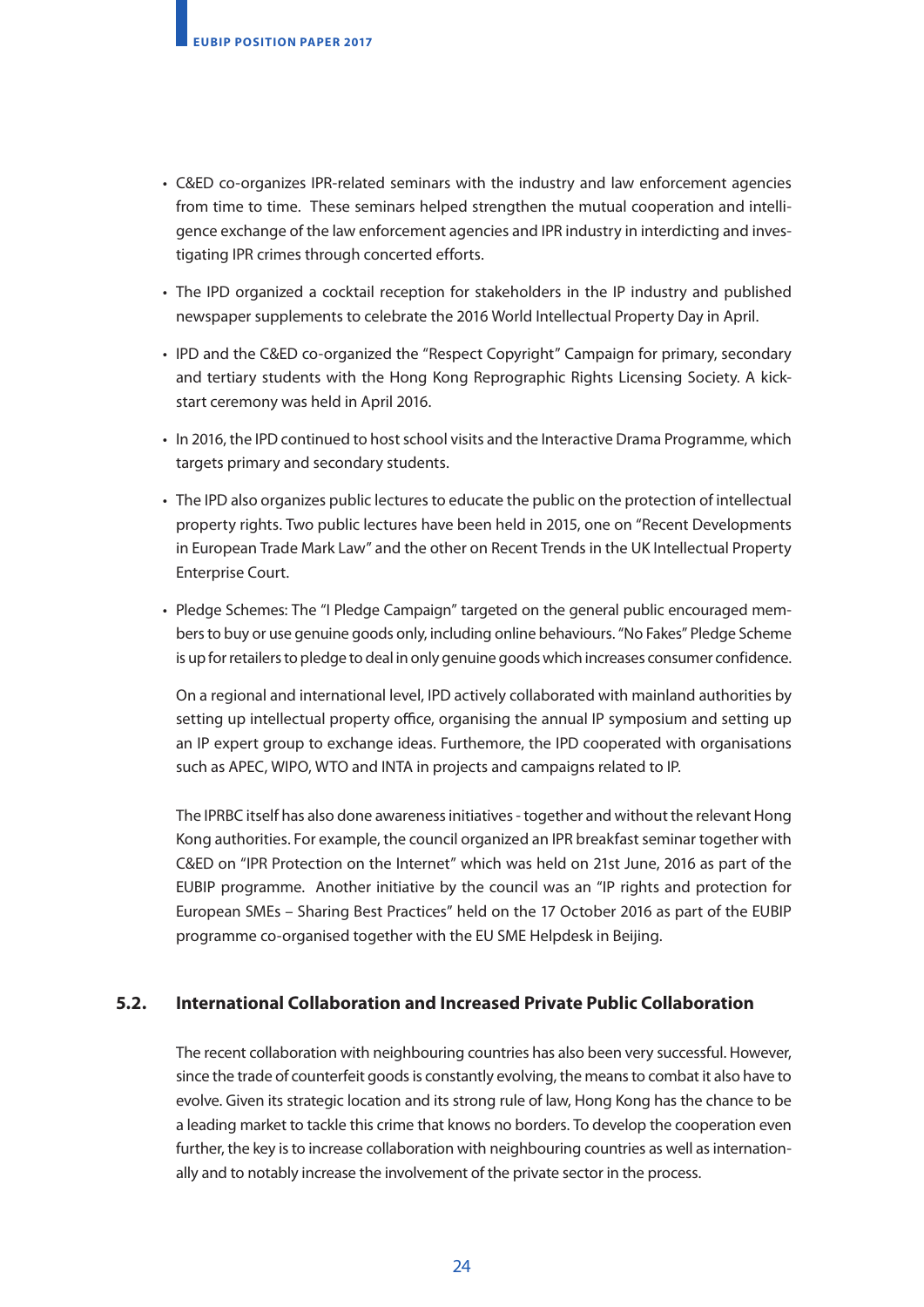- C&ED co-organizes IPR-related seminars with the industry and law enforcement agencies from time to time. These seminars helped strengthen the mutual cooperation and intelligence exchange of the law enforcement agencies and IPR industry in interdicting and investigating IPR crimes through concerted efforts.
- The IPD organized a cocktail reception for stakeholders in the IP industry and published newspaper supplements to celebrate the 2016 World Intellectual Property Day in April.
- IPD and the C&ED co-organized the "Respect Copyright" Campaign for primary, secondary and tertiary students with the Hong Kong Reprographic Rights Licensing Society. A kickstart ceremony was held in April 2016.
- In 2016, the IPD continued to host school visits and the Interactive Drama Programme, which targets primary and secondary students.
- The IPD also organizes public lectures to educate the public on the protection of intellectual property rights. Two public lectures have been held in 2015, one on "Recent Developments in European Trade Mark Law" and the other on Recent Trends in the UK Intellectual Property Enterprise Court.
- Pledge Schemes: The "I Pledge Campaign" targeted on the general public encouraged members to buy or use genuine goods only, including online behaviours. "No Fakes" Pledge Scheme is up for retailers to pledge to deal in only genuine goods which increases consumer confidence.

On a regional and international level, IPD actively collaborated with mainland authorities by setting up intellectual property office, organising the annual IP symposium and setting up an IP expert group to exchange ideas. Furthemore, the IPD cooperated with organisations such as APEC, WIPO, WTO and INTA in projects and campaigns related to IP.

The IPRBC itself has also done awareness initiatives - together and without the relevant Hong Kong authorities. For example, the council organized an IPR breakfast seminar together with C&ED on "IPR Protection on the Internet" which was held on 21st June, 2016 as part of the EUBIP programme. Another initiative by the council was an "IP rights and protection for European SMEs – Sharing Best Practices" held on the 17 October 2016 as part of the EUBIP programme co-organised together with the EU SME Helpdesk in Beijing.

### **5.2. International Collaboration and Increased Private Public Collaboration**

The recent collaboration with neighbouring countries has also been very successful. However, since the trade of counterfeit goods is constantly evolving, the means to combat it also have to evolve. Given its strategic location and its strong rule of law, Hong Kong has the chance to be a leading market to tackle this crime that knows no borders. To develop the cooperation even further, the key is to increase collaboration with neighbouring countries as well as internationally and to notably increase the involvement of the private sector in the process.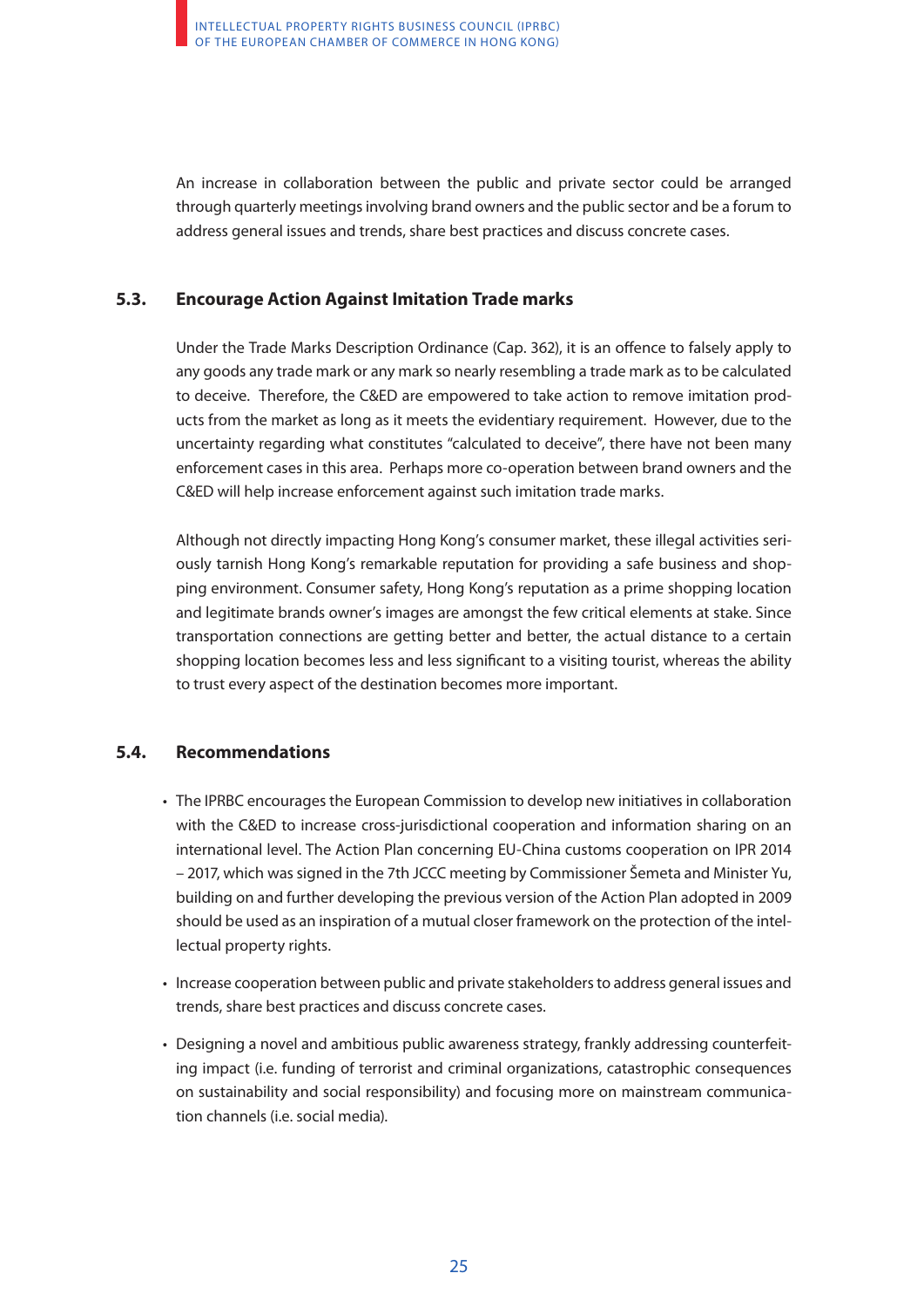An increase in collaboration between the public and private sector could be arranged through quarterly meetings involving brand owners and the public sector and be a forum to address general issues and trends, share best practices and discuss concrete cases.

### **5.3. Encourage Action Against Imitation Trade marks**

Under the Trade Marks Description Ordinance (Cap. 362), it is an offence to falsely apply to any goods any trade mark or any mark so nearly resembling a trade mark as to be calculated to deceive. Therefore, the C&ED are empowered to take action to remove imitation products from the market as long as it meets the evidentiary requirement. However, due to the uncertainty regarding what constitutes "calculated to deceive", there have not been many enforcement cases in this area. Perhaps more co-operation between brand owners and the C&ED will help increase enforcement against such imitation trade marks.

Although not directly impacting Hong Kong's consumer market, these illegal activities seriously tarnish Hong Kong's remarkable reputation for providing a safe business and shopping environment. Consumer safety, Hong Kong's reputation as a prime shopping location and legitimate brands owner's images are amongst the few critical elements at stake. Since transportation connections are getting better and better, the actual distance to a certain shopping location becomes less and less significant to a visiting tourist, whereas the ability to trust every aspect of the destination becomes more important.

### **5.4. Recommendations**

- The IPRBC encourages the European Commission to develop new initiatives in collaboration with the C&ED to increase cross-jurisdictional cooperation and information sharing on an international level. The Action Plan concerning EU-China customs cooperation on IPR 2014 – 2017, which was signed in the 7th JCCC meeting by Commissioner Šemeta and Minister Yu, building on and further developing the previous version of the Action Plan adopted in 2009 should be used as an inspiration of a mutual closer framework on the protection of the intellectual property rights.
- Increase cooperation between public and private stakeholders to address general issues and trends, share best practices and discuss concrete cases.
- Designing a novel and ambitious public awareness strategy, frankly addressing counterfeiting impact (i.e. funding of terrorist and criminal organizations, catastrophic consequences on sustainability and social responsibility) and focusing more on mainstream communication channels (i.e. social media).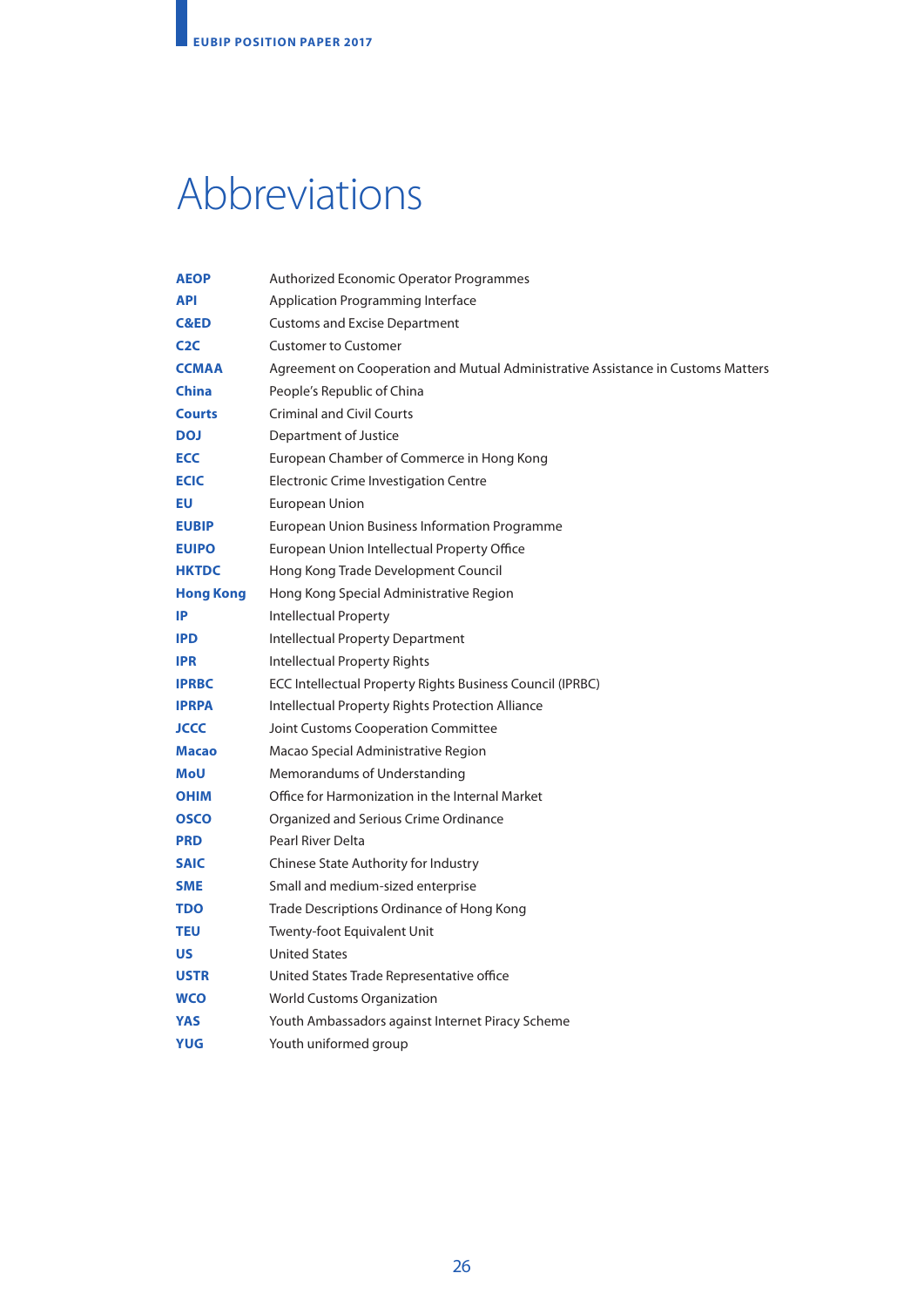# Abbreviations

| <b>AEOP</b>      | Authorized Economic Operator Programmes                                          |
|------------------|----------------------------------------------------------------------------------|
| <b>API</b>       | Application Programming Interface                                                |
| <b>C&amp;ED</b>  | <b>Customs and Excise Department</b>                                             |
| C2C              | <b>Customer to Customer</b>                                                      |
| <b>CCMAA</b>     | Agreement on Cooperation and Mutual Administrative Assistance in Customs Matters |
| <b>China</b>     | People's Republic of China                                                       |
| <b>Courts</b>    | <b>Criminal and Civil Courts</b>                                                 |
| <b>DOJ</b>       | Department of Justice                                                            |
| <b>ECC</b>       | European Chamber of Commerce in Hong Kong                                        |
| <b>ECIC</b>      | Electronic Crime Investigation Centre                                            |
| EU               | European Union                                                                   |
| <b>EUBIP</b>     | European Union Business Information Programme                                    |
| <b>EUIPO</b>     | European Union Intellectual Property Office                                      |
| <b>HKTDC</b>     | Hong Kong Trade Development Council                                              |
| <b>Hong Kong</b> | Hong Kong Special Administrative Region                                          |
| IP               | Intellectual Property                                                            |
| <b>IPD</b>       | <b>Intellectual Property Department</b>                                          |
| <b>IPR</b>       | <b>Intellectual Property Rights</b>                                              |
| <b>IPRBC</b>     | ECC Intellectual Property Rights Business Council (IPRBC)                        |
| <b>IPRPA</b>     | Intellectual Property Rights Protection Alliance                                 |
| <b>JCCC</b>      | Joint Customs Cooperation Committee                                              |
| <b>Macao</b>     | Macao Special Administrative Region                                              |
| <b>MoU</b>       | Memorandums of Understanding                                                     |
| <b>OHIM</b>      | Office for Harmonization in the Internal Market                                  |
| <b>OSCO</b>      | Organized and Serious Crime Ordinance                                            |
| <b>PRD</b>       | Pearl River Delta                                                                |
| <b>SAIC</b>      | Chinese State Authority for Industry                                             |
| <b>SME</b>       | Small and medium-sized enterprise                                                |
| <b>TDO</b>       | Trade Descriptions Ordinance of Hong Kong                                        |
| <b>TEU</b>       | Twenty-foot Equivalent Unit                                                      |
| <b>US</b>        | <b>United States</b>                                                             |
| <b>USTR</b>      | United States Trade Representative office                                        |
| <b>WCO</b>       | <b>World Customs Organization</b>                                                |
| <b>YAS</b>       | Youth Ambassadors against Internet Piracy Scheme                                 |
| <b>YUG</b>       | Youth uniformed group                                                            |
|                  |                                                                                  |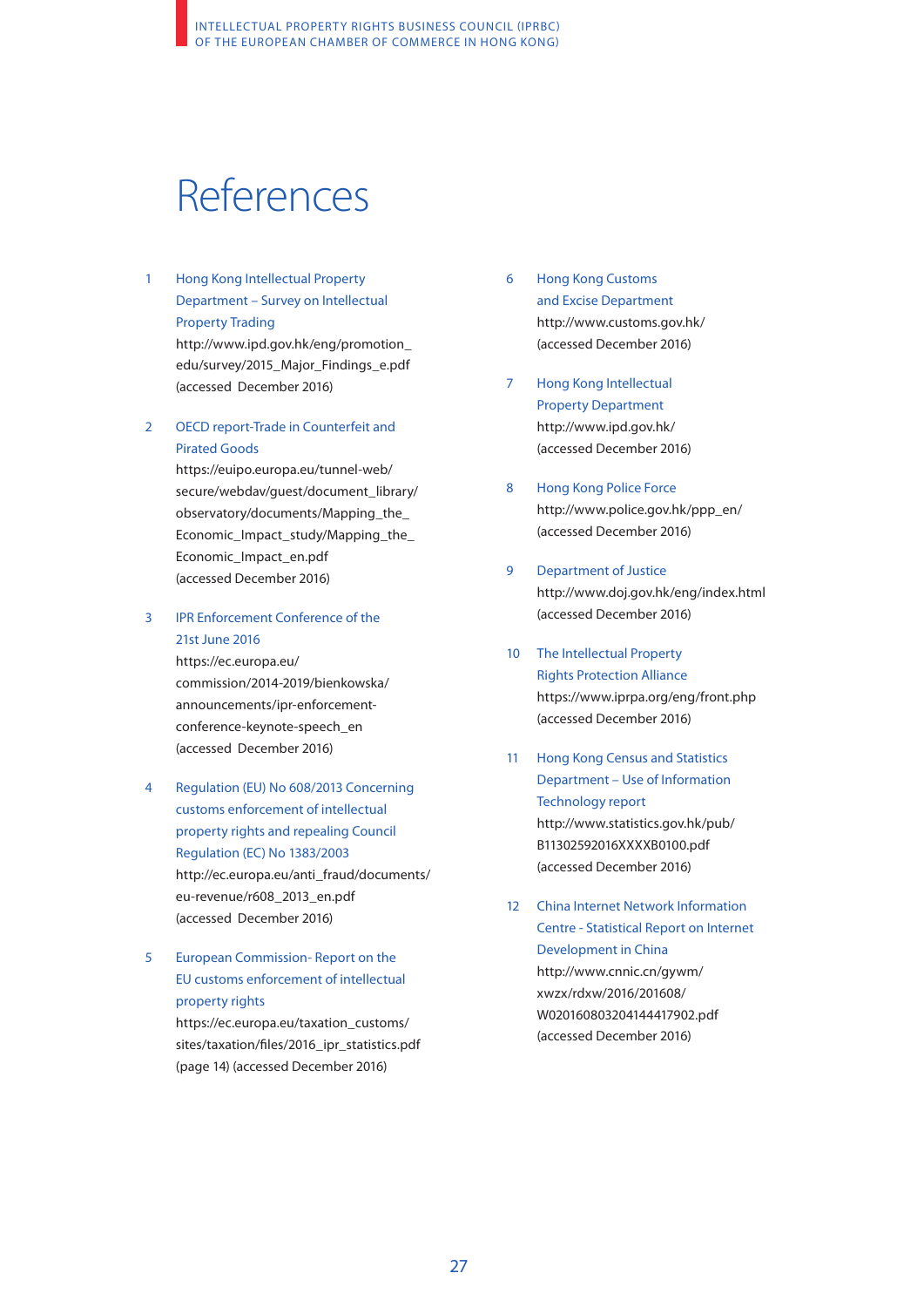# References

- 1 Hong Kong Intellectual Property Department – Survey on Intellectual Property Trading [http://www.ipd.gov.hk/eng/promotion\\_](http://www.ipd.gov.hk/eng/promotion_edu/survey/2015_Major_Findings_e.pdf) [edu/survey/2015\\_Major\\_Findings\\_e.pdf](http://www.ipd.gov.hk/eng/promotion_edu/survey/2015_Major_Findings_e.pdf)
- 2 OECD report-Trade in Counterfeit and Pirated Goods

(accessed December 2016)

[https://euipo.europa.eu/tunnel-web/](https://euipo.europa.eu/tunnel-web/secure/webdav/guest/document_library/observatory/documents/Mapping_the_Economic_Impact_study/Mapping_the_Economic_Impact_en.pdf) [secure/webdav/guest/document\\_library/](https://euipo.europa.eu/tunnel-web/secure/webdav/guest/document_library/observatory/documents/Mapping_the_Economic_Impact_study/Mapping_the_Economic_Impact_en.pdf) [observatory/documents/Mapping\\_the\\_](https://euipo.europa.eu/tunnel-web/secure/webdav/guest/document_library/observatory/documents/Mapping_the_Economic_Impact_study/Mapping_the_Economic_Impact_en.pdf) [Economic\\_Impact\\_study/Mapping\\_the\\_](https://euipo.europa.eu/tunnel-web/secure/webdav/guest/document_library/observatory/documents/Mapping_the_Economic_Impact_study/Mapping_the_Economic_Impact_en.pdf) [Economic\\_Impact\\_en.pdf](https://euipo.europa.eu/tunnel-web/secure/webdav/guest/document_library/observatory/documents/Mapping_the_Economic_Impact_study/Mapping_the_Economic_Impact_en.pdf) (accessed December 2016)

### 3 IPR Enforcement Conference of the 21st June 2016

[https://ec.europa.eu/](https://ec.europa.eu/commission/2014-2019/bienkowska/announcements/ipr-enforcement-conference-keynote-speech_en) [commission/2014-2019/bienkowska/](https://ec.europa.eu/commission/2014-2019/bienkowska/announcements/ipr-enforcement-conference-keynote-speech_en) [announcements/ipr-enforcement](https://ec.europa.eu/commission/2014-2019/bienkowska/announcements/ipr-enforcement-conference-keynote-speech_en)[conference-keynote-speech\\_en](https://ec.europa.eu/commission/2014-2019/bienkowska/announcements/ipr-enforcement-conference-keynote-speech_en)  (accessed December 2016)

4 Regulation (EU) No 608/2013 Concerning customs enforcement of intellectual property rights and repealing Council Regulation (EC) No 1383/2003 [http://ec.europa.eu/anti\\_fraud/documents/](http://ec.europa.eu/anti_fraud/documents/eu-revenue/r608_2013_en.pdf) [eu-revenue/r608\\_2013\\_en.pdf](http://ec.europa.eu/anti_fraud/documents/eu-revenue/r608_2013_en.pdf)  (accessed December 2016)

### 5 European Commission- Report on the EU customs enforcement of intellectual property rights

[https://ec.europa.eu/taxation\\_customs/](https://ec.europa.eu/taxation_customs/sites/taxation/files/2016_ipr_statistics.pdf) [sites/taxation/files/2016\\_ipr\\_statistics.pdf](https://ec.europa.eu/taxation_customs/sites/taxation/files/2016_ipr_statistics.pdf)  (page 14) (accessed December 2016)

- 6 Hong Kong Customs and Excise Department <http://www.customs.gov.hk/> (accessed December 2016)
- 7 Hong Kong Intellectual Property Department <http://www.ipd.gov.hk/> (accessed December 2016)
- 8 Hong Kong Police Force [http://www.police.gov.hk/ppp\\_en/](http://www.police.gov.hk/ppp_en/)  (accessed December 2016)
- 9 Department of Justice <http://www.doj.gov.hk/eng/index.html> (accessed December 2016)
- 10 The Intellectual Property Rights Protection Alliance <https://www.iprpa.org/eng/front.php> (accessed December 2016)
- 11 Hong Kong Census and Statistics Department – Use of Information Technology report [http://www.statistics.gov.hk/pub/](http://www.statistics.gov.hk/pub/B11302592016XXXXB0100.pdf) [B11302592016XXXXB0100.pdf](http://www.statistics.gov.hk/pub/B11302592016XXXXB0100.pdf) (accessed December 2016)
- 12 China Internet Network Information Centre - Statistical Report on Internet Development in China [http://www.cnnic.cn/gywm/](http://www.cnnic.cn/gywm/xwzx/rdxw/2016/201608/W020160803204144417902.pdf) [xwzx/rdxw/2016/201608/](http://www.cnnic.cn/gywm/xwzx/rdxw/2016/201608/W020160803204144417902.pdf) [W020160803204144417902.pdf](http://www.cnnic.cn/gywm/xwzx/rdxw/2016/201608/W020160803204144417902.pdf)  (accessed December 2016)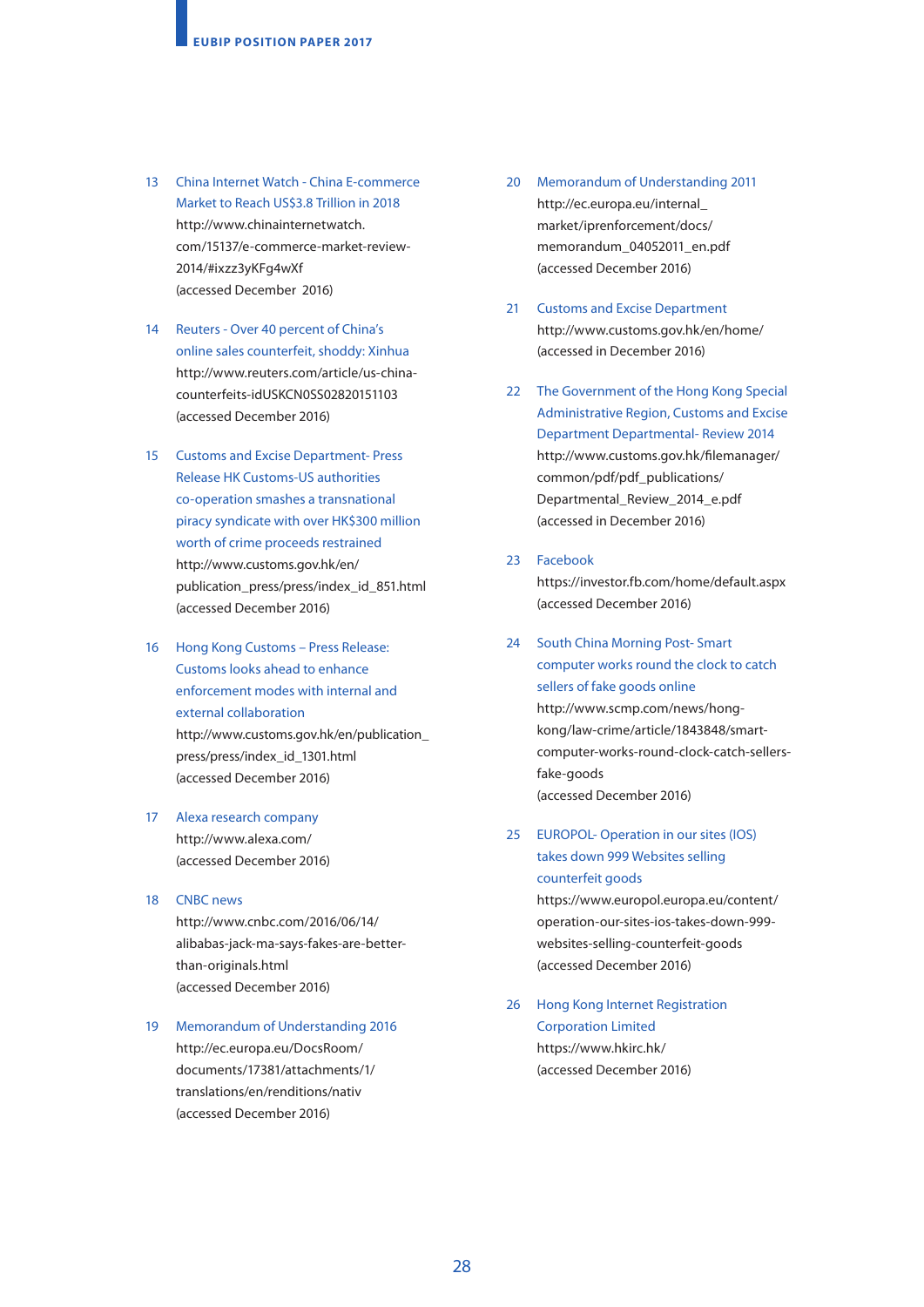- 13 China Internet Watch China E-commerce Market to Reach US\$3.8 Trillion in 2018 [http://www.chinainternetwatch.](http://www.chinainternetwatch.com/15137/e-commerce-market-review-2014/#ixzz3yKFg4wXf) [com/15137/e-commerce-market-review-](http://www.chinainternetwatch.com/15137/e-commerce-market-review-2014/#ixzz3yKFg4wXf)[2014/#ixzz3yKFg4wXf](http://www.chinainternetwatch.com/15137/e-commerce-market-review-2014/#ixzz3yKFg4wXf) (accessed December 2016)
- 14 Reuters Over 40 percent of China's online sales counterfeit, shoddy: Xinhua [http://www.reuters.com/article/us-china](http://www.reuters.com/article/us-china-counterfeits-idUSKCN0SS02820151103)[counterfeits-idUSKCN0SS02820151103](http://www.reuters.com/article/us-china-counterfeits-idUSKCN0SS02820151103)  [\(accessed December 2016\)](http://www.reuters.com/article/us-china-counterfeits-idUSKCN0SS02820151103)
- 15 Customs and Excise Department- Press Release HK Customs-US authorities co-operation smashes a transnational piracy syndicate with over HK\$300 million worth of crime proceeds restrained [http://www.customs.gov.hk/en/](http://www.customs.gov.hk/en/publication_press/press/index_id_851.html) [publication\\_press/press/index\\_id\\_851.html](http://www.customs.gov.hk/en/publication_press/press/index_id_851.html)  (accessed December 2016)
- 16 Hong Kong Customs Press Release: Customs looks ahead to enhance enforcement modes with internal and external collaboration [http://www.customs.gov.hk/en/publication\\_](http://www.customs.gov.hk/en/publication_press/press/index_id_1301.html) [press/press/index\\_id\\_1301.html](http://www.customs.gov.hk/en/publication_press/press/index_id_1301.html) (accessed December 2016)
- 17 Alexa research company <http://www.alexa.com/> (accessed December 2016)
- 18 CNBC news [http://www.cnbc.com/2016/06/14/](http://www.cnbc.com/2016/06/14/alibabas-jack-ma-says-fakes-are-better-than-originals.html) [alibabas-jack-ma-says-fakes-are-better](http://www.cnbc.com/2016/06/14/alibabas-jack-ma-says-fakes-are-better-than-originals.html)[than-originals.html](http://www.cnbc.com/2016/06/14/alibabas-jack-ma-says-fakes-are-better-than-originals.html)  (accessed December 2016)
- 19 Memorandum of Understanding 2016 [http://ec.europa.eu/DocsRoom/](http://ec.europa.eu/DocsRoom/documents/17381/attachments/1/translations/en/renditions/native) [documents/17381/attachments/1/](http://ec.europa.eu/DocsRoom/documents/17381/attachments/1/translations/en/renditions/native) [translations/en/renditions/nativ](http://ec.europa.eu/DocsRoom/documents/17381/attachments/1/translations/en/renditions/native)  [\(accessed December 2016\)](http://ec.europa.eu/DocsRoom/documents/17381/attachments/1/translations/en/renditions/native)
- 20 Memorandum of Understanding 2011 [http://ec.europa.eu/internal\\_](http://ec.europa.eu/internal_market/iprenforcement/docs/memorandum_04052011_en.pdf) [market/iprenforcement/docs/](http://ec.europa.eu/internal_market/iprenforcement/docs/memorandum_04052011_en.pdf) [memorandum\\_04052011\\_en.pdf](http://ec.europa.eu/internal_market/iprenforcement/docs/memorandum_04052011_en.pdf) (accessed December 2016)
- 21 Customs and Excise Department <http://www.customs.gov.hk/en/home/> (accessed in December 2016)
- 22 The Government of the Hong Kong Special Administrative Region, Customs and Excise Department Departmental- Review 2014 [http://www.customs.gov.hk/filemanager/](http://www.customs.gov.hk/filemanager/common/pdf/pdf_publications/Departmental_Review_2014_e.pdf) [common/pdf/pdf\\_publications/](http://www.customs.gov.hk/filemanager/common/pdf/pdf_publications/Departmental_Review_2014_e.pdf) [Departmental\\_Review\\_2014\\_e.pdf](http://www.customs.gov.hk/filemanager/common/pdf/pdf_publications/Departmental_Review_2014_e.pdf)  [\(accessed in December 2016\)](http://www.customs.gov.hk/filemanager/common/pdf/pdf_publications/Departmental_Review_2014_e.pdf)
- 23 Facebook

<https://investor.fb.com/home/default.aspx> (accessed December 2016)

- 24 South China Morning Post- Smart computer works round the clock to catch sellers of fake goods online [http://www.scmp.com/news/hong](http://www.scmp.com/news/hong-kong/law-crime/article/1843848/smart-computer-works-round-clock-catch-sellers-fake-goods)[kong/law-crime/article/1843848/smart](http://www.scmp.com/news/hong-kong/law-crime/article/1843848/smart-computer-works-round-clock-catch-sellers-fake-goods)[computer-works-round-clock-catch-sellers](http://www.scmp.com/news/hong-kong/law-crime/article/1843848/smart-computer-works-round-clock-catch-sellers-fake-goods)[fake-goods](http://www.scmp.com/news/hong-kong/law-crime/article/1843848/smart-computer-works-round-clock-catch-sellers-fake-goods) (accessed December 2016)
- 25 EUROPOL- Operation in our sites (IOS) takes down 999 Websites selling counterfeit goods

[https://www.europol.europa.eu/content/](https://www.europol.europa.eu/content/operation-our-sites-ios-takes-down-999-websites-selling-counterfeit-goods) [operation-our-sites-ios-takes-down-999](https://www.europol.europa.eu/content/operation-our-sites-ios-takes-down-999-websites-selling-counterfeit-goods) [websites-selling-counterfeit-goods](https://www.europol.europa.eu/content/operation-our-sites-ios-takes-down-999-websites-selling-counterfeit-goods)  (accessed December 2016)

26 Hong Kong Internet Registration Corporation Limited <https://www.hkirc.hk/> (accessed December 2016)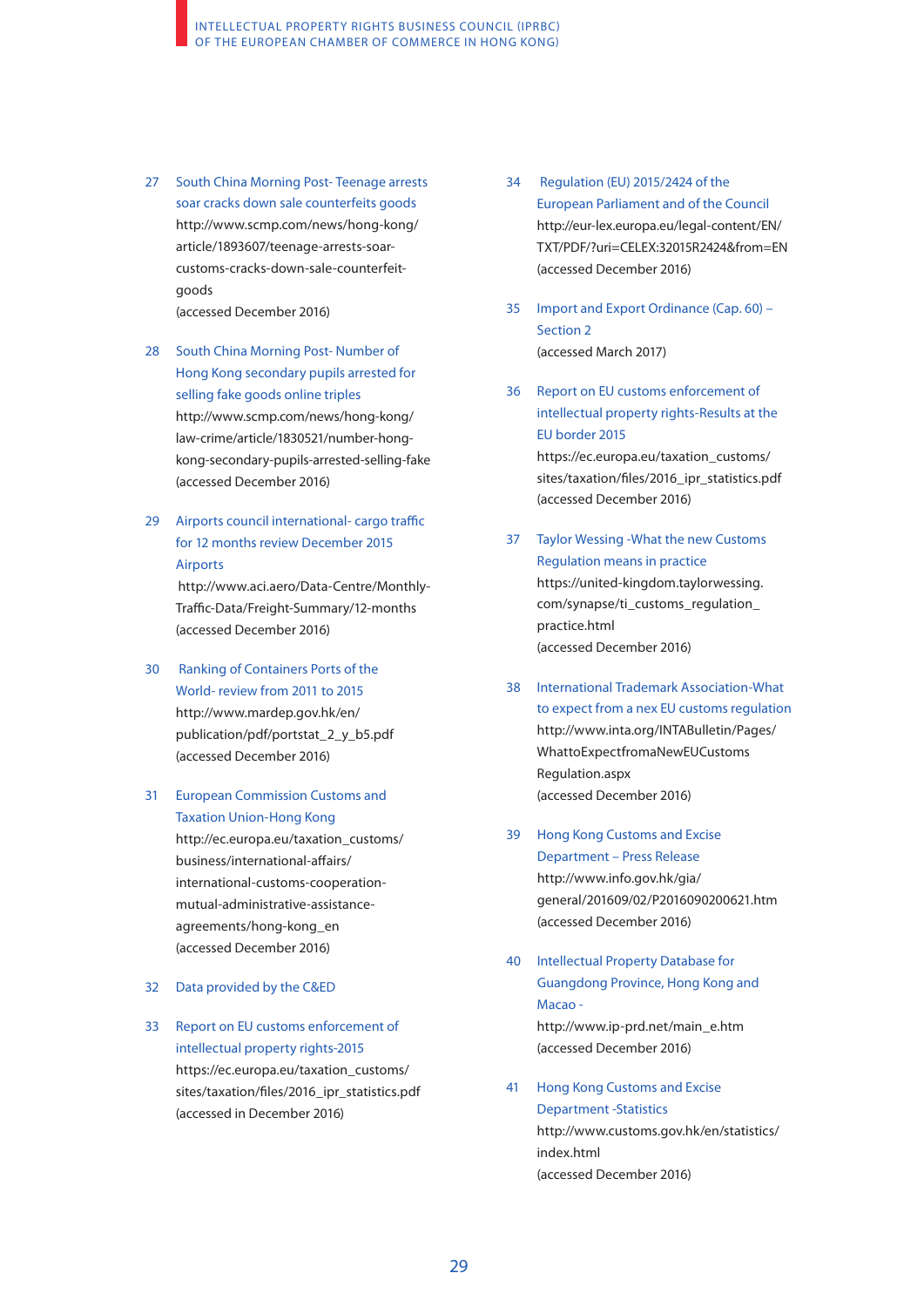- 27 South China Morning Post- Teenage arrests soar cracks down sale counterfeits goods [http://www.scmp.com/news/hong-kong/](http://www.scmp.com/news/hong-kong/article/1893607/teenage-arrests-soar-customs-cracks-down-sale-counterfeit-goods) [article/1893607/teenage-arrests-soar](http://www.scmp.com/news/hong-kong/article/1893607/teenage-arrests-soar-customs-cracks-down-sale-counterfeit-goods)[customs-cracks-down-sale-counterfeit](http://www.scmp.com/news/hong-kong/article/1893607/teenage-arrests-soar-customs-cracks-down-sale-counterfeit-goods)[goods](http://www.scmp.com/news/hong-kong/article/1893607/teenage-arrests-soar-customs-cracks-down-sale-counterfeit-goods) (accessed December 2016)
- 28 South China Morning Post- Number of Hong Kong secondary pupils arrested for selling fake goods online triples [http://www.scmp.com/news/hong-kong/](http://www.scmp.com/news/hong-kong/law-crime/article/1830521/number-hong-kong-secondary-pupils-arrested-selling-fake) [law-crime/article/1830521/number-hong](http://www.scmp.com/news/hong-kong/law-crime/article/1830521/number-hong-kong-secondary-pupils-arrested-selling-fake)[kong-secondary-pupils-arrested-selling-fake](http://www.scmp.com/news/hong-kong/law-crime/article/1830521/number-hong-kong-secondary-pupils-arrested-selling-fake) (accessed December 2016)
- 29 Airports council international- cargo traffic for 12 months review December 2015 Airports

 [http://www.aci.aero/Data-Centre/Monthly-](http://www.aci.aero/Data-Centre/Monthly-Traffic-Data/Freight-Summary/12-months)[Traffic-Data/Freight-Summary/12-months](http://www.aci.aero/Data-Centre/Monthly-Traffic-Data/Freight-Summary/12-months) (accessed December 2016)

- 30 Ranking of Containers Ports of the World- review from 2011 to 2015 [http://www.mardep.gov.hk/en/](http://www.mardep.gov.hk/en/publication/pdf/portstat_2_y_b5.pdf) [publication/pdf/portstat\\_2\\_y\\_b5.pdf](http://www.mardep.gov.hk/en/publication/pdf/portstat_2_y_b5.pdf)  (accessed December 2016)
- 31 European Commission Customs and Taxation Union-Hong Kong

[http://ec.europa.eu/taxation\\_customs/](http://ec.europa.eu/taxation_customs/business/international-affairs/international-customs-cooperation-mutual-administrative-assistance-agreements/hong-kong_en) [business/international-affairs/](http://ec.europa.eu/taxation_customs/business/international-affairs/international-customs-cooperation-mutual-administrative-assistance-agreements/hong-kong_en) [international-customs-cooperation](http://ec.europa.eu/taxation_customs/business/international-affairs/international-customs-cooperation-mutual-administrative-assistance-agreements/hong-kong_en)[mutual-administrative-assistance](http://ec.europa.eu/taxation_customs/business/international-affairs/international-customs-cooperation-mutual-administrative-assistance-agreements/hong-kong_en)[agreements/hong-kong\\_en](http://ec.europa.eu/taxation_customs/business/international-affairs/international-customs-cooperation-mutual-administrative-assistance-agreements/hong-kong_en)  (accessed December 2016)

- 32 Data provided by the C&ED
- 33 Report on EU customs enforcement of intellectual property rights-2015 [https://ec.europa.eu/taxation\\_customs/](https://ec.europa.eu/taxation_customs/sites/taxation/files/2016_ipr_statistics.pdf) [sites/taxation/files/2016\\_ipr\\_statistics.pdf](https://ec.europa.eu/taxation_customs/sites/taxation/files/2016_ipr_statistics.pdf)  (accessed in December 2016)
- 34 Regulation (EU) 2015/2424 of the European Parliament and of the Council [http://eur-lex.europa.eu/legal-content/EN/](http://eur-lex.europa.eu/legal-content/EN/TXT/PDF/?uri=CELEX:32015R2424&from=EN) [TXT/PDF/?uri=CELEX:32015R2424&from=EN](http://eur-lex.europa.eu/legal-content/EN/TXT/PDF/?uri=CELEX:32015R2424&from=EN)  (accessed December 2016)
- 35 Import and Export Ordinance (Cap. 60) Section 2 (accessed March 2017)
- 36 Report on EU customs enforcement of intellectual property rights-Results at the EU border 2015 [https://ec.europa.eu/taxation\\_customs/](https://ec.europa.eu/taxation_customs/sites/taxation/files/2016_ipr_statistics.pdf) [sites/taxation/files/2016\\_ipr\\_statistics.pdf](https://ec.europa.eu/taxation_customs/sites/taxation/files/2016_ipr_statistics.pdf)  (accessed December 2016)
- 37 Taylor Wessing -What the new Customs Regulation means in practice [https://united-kingdom.taylorwessing.](https://united-kingdom.taylorwessing.com/synapse/ti_customs_regulation_practice.html) [com/synapse/ti\\_customs\\_regulation\\_](https://united-kingdom.taylorwessing.com/synapse/ti_customs_regulation_practice.html) [practice.html](https://united-kingdom.taylorwessing.com/synapse/ti_customs_regulation_practice.html) (accessed December 2016)
- 38 International Trademark Association-What to expect from a nex EU customs regulation [http://www.inta.org/INTABulletin/Pages/](http://www.inta.org/INTABulletin/Pages/WhattoExpectfromaNewEUCustoms Regulation.aspx) [WhattoExpectfromaNewEUCustoms](http://www.inta.org/INTABulletin/Pages/WhattoExpectfromaNewEUCustoms Regulation.aspx) [Regulation.aspx](http://www.inta.org/INTABulletin/Pages/WhattoExpectfromaNewEUCustoms Regulation.aspx) (accessed December 2016)
- 39 Hong Kong Customs and Excise Department – Press Release [http://www.info.gov.hk/gia/](http://www.info.gov.hk/gia/general/201609/02/P2016090200621.htm) [general/201609/02/P2016090200621.htm](http://www.info.gov.hk/gia/general/201609/02/P2016090200621.htm) (accessed December 2016)
- 40 Intellectual Property Database for Guangdong Province, Hong Kong and Macao [http://www.ip-prd.net/main\\_e.htm](http://www.ip-prd.net/main_e.htm)

(accessed December 2016)

41 Hong Kong Customs and Excise Department -Statistics [http://www.customs.gov.hk/en/statistics/](http://www.customs.gov.hk/en/statistics/index.html) [index.html](http://www.customs.gov.hk/en/statistics/index.html)  (accessed December 2016)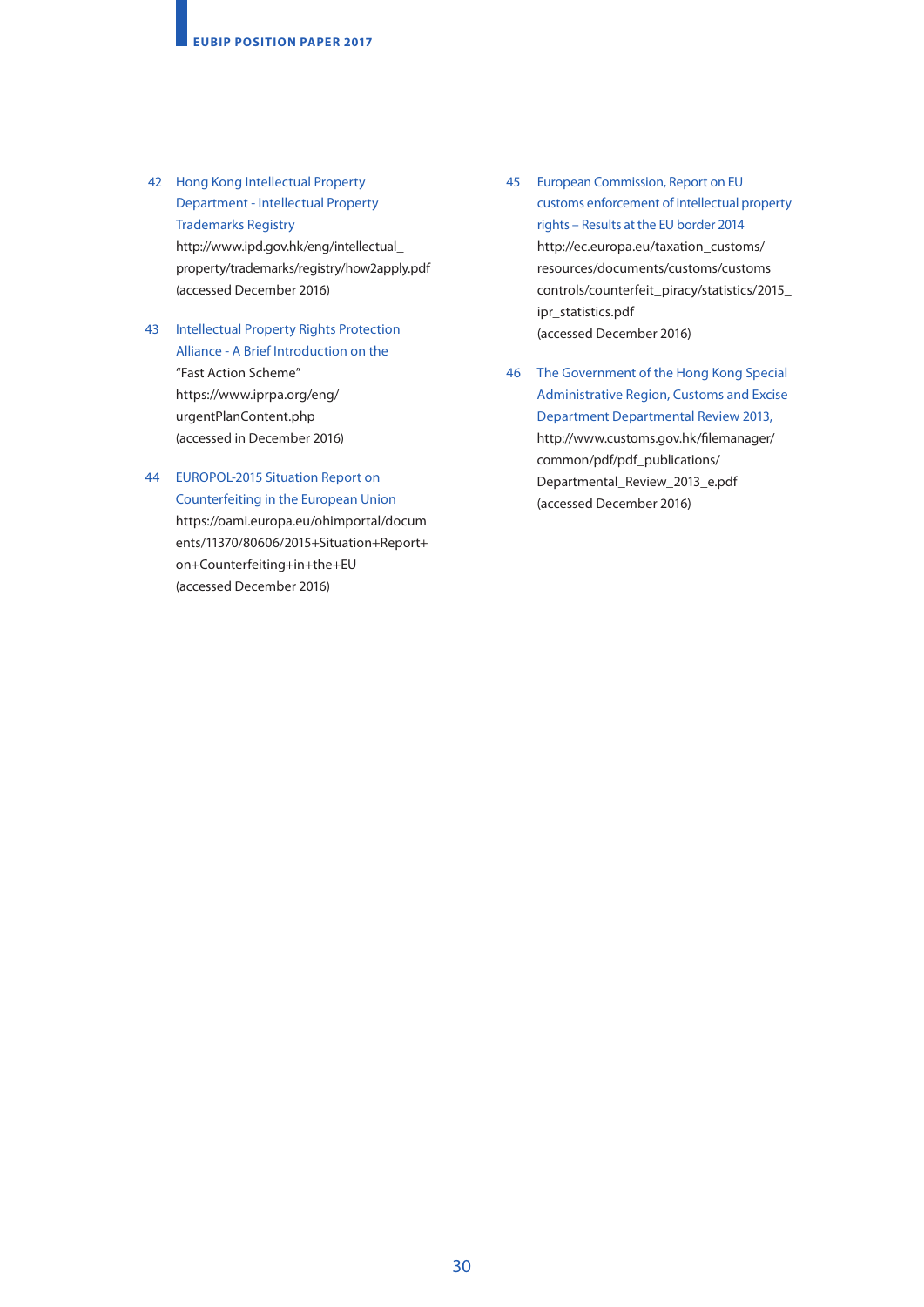- 42 Hong Kong Intellectual Property Department - Intellectual Property Trademarks Registry [http://www.ipd.gov.hk/eng/intellectual\\_](http://www.ipd.gov.hk/eng/intellectual_property/trademarks/registry/how2apply.pdf) [property/trademarks/registry/how2apply.pdf](http://www.ipd.gov.hk/eng/intellectual_property/trademarks/registry/how2apply.pdf) (accessed December 2016)
- 43 Intellectual Property Rights Protection Alliance - A Brief Introduction on the "Fast Action Scheme" [https://www.iprpa.org/eng/](https://www.iprpa.org/eng/urgentPlanContent.php) [urgentPlanContent.php](https://www.iprpa.org/eng/urgentPlanContent.php) (accessed in December 2016)
- 44 EUROPOL-2015 Situation Report on Counterfeiting in the European Union [https://oami.europa.eu/ohimportal/docum](https://oami.europa.eu/ohimportal/documents/11370/80606/2015+Situation+Report+on+Counterfeiting+in+the+EU) [ents/11370/80606/2015+Situation+Report+](https://oami.europa.eu/ohimportal/documents/11370/80606/2015+Situation+Report+on+Counterfeiting+in+the+EU) [on+Counterfeiting+in+the+EU](https://oami.europa.eu/ohimportal/documents/11370/80606/2015+Situation+Report+on+Counterfeiting+in+the+EU) (accessed December 2016)
- 45 European Commission, Report on EU customs enforcement of intellectual property rights – Results at the EU border 2014 [http://ec.europa.eu/taxation\\_customs/](http://ec.europa.eu/taxation_customs/resources/documents/customs/customs_controls/counterfeit_piracy/statistics/2015_ipr_statistics.pdf) [resources/documents/customs/customs\\_](http://ec.europa.eu/taxation_customs/resources/documents/customs/customs_controls/counterfeit_piracy/statistics/2015_ipr_statistics.pdf) [controls/counterfeit\\_piracy/statistics/2015\\_](http://ec.europa.eu/taxation_customs/resources/documents/customs/customs_controls/counterfeit_piracy/statistics/2015_ipr_statistics.pdf) [ipr\\_statistics.pdf](http://ec.europa.eu/taxation_customs/resources/documents/customs/customs_controls/counterfeit_piracy/statistics/2015_ipr_statistics.pdf)  (accessed December 2016)
- 46 The Government of the Hong Kong Special Administrative Region, Customs and Excise Department Departmental Review 2013, [http://www.customs.gov.hk/filemanager/](http://www.customs.gov.hk/filemanager/common/pdf/pdf_publications/Departmental_Review_2013_e.pdf) [common/pdf/pdf\\_publications/](http://www.customs.gov.hk/filemanager/common/pdf/pdf_publications/Departmental_Review_2013_e.pdf) [Departmental\\_Review\\_2013\\_e.pdf](http://www.customs.gov.hk/filemanager/common/pdf/pdf_publications/Departmental_Review_2013_e.pdf) (accessed December 2016)